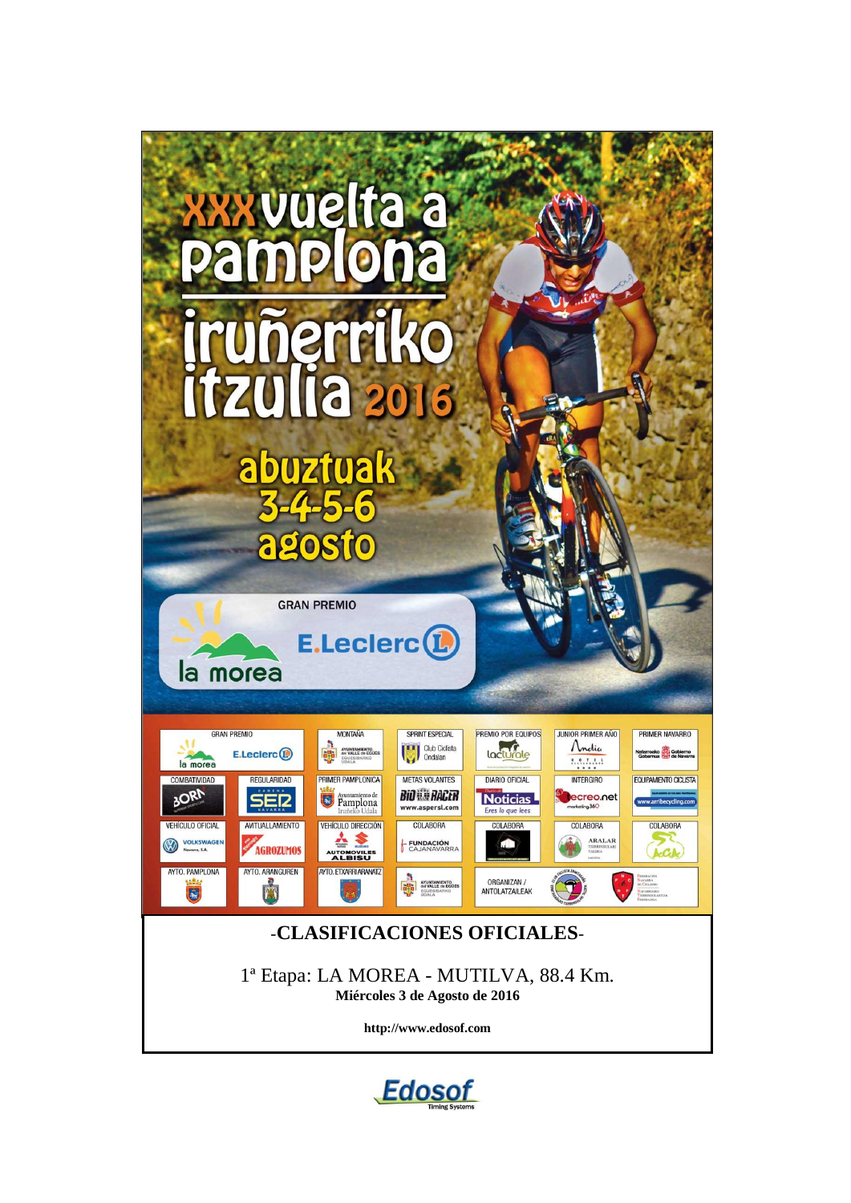

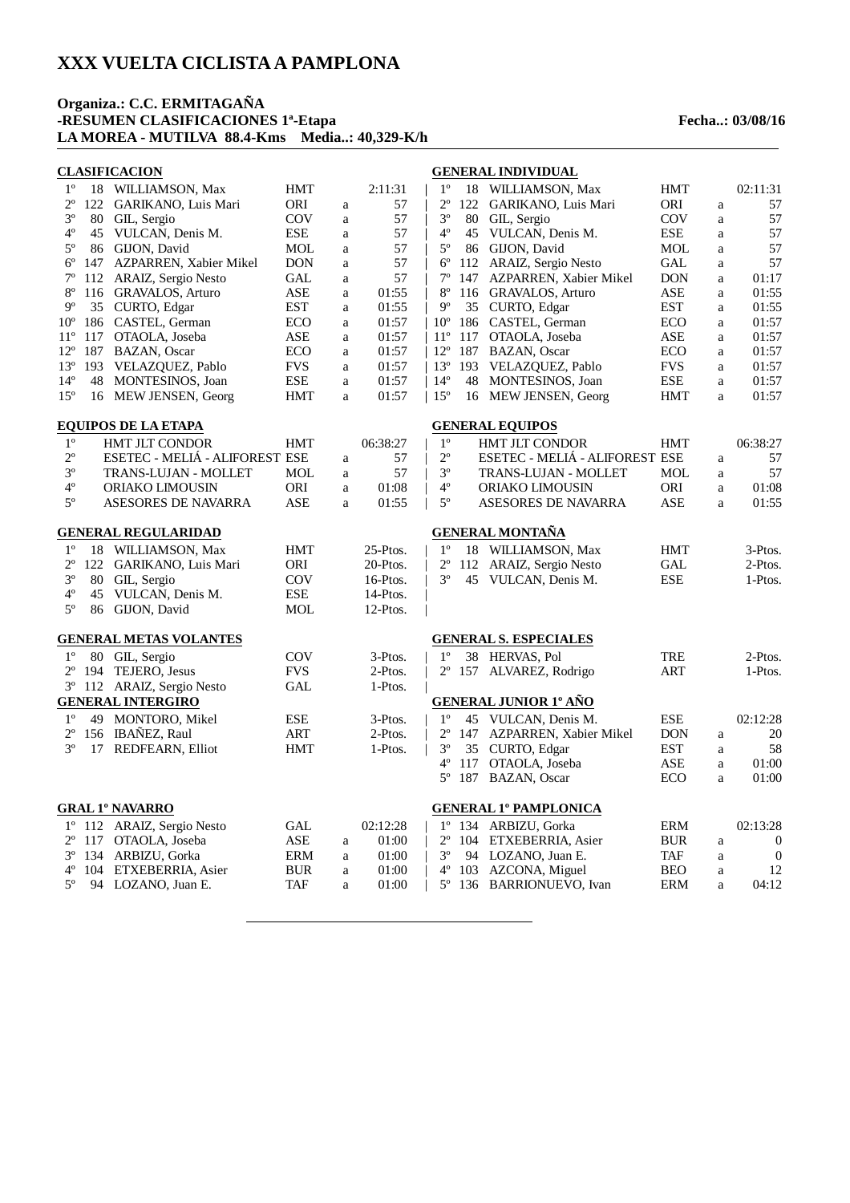#### **Organiza.: C.C. ERMITAGAÑA -RESUMEN CLASIFICACIONES 1ª-Etapa Fecha..: 03/08/16 LA MOREA - MUTILVA 88.4-Kms Media..: 40,329-K/h**

|              |     | <b>CLASIFICACION</b>           |            |              |          |              |     | <b>GENERAL INDIVIDUAL</b>      |            |              |                  |
|--------------|-----|--------------------------------|------------|--------------|----------|--------------|-----|--------------------------------|------------|--------------|------------------|
| $1^{\rm o}$  |     | 18 WILLIAMSON, Max             | <b>HMT</b> |              | 2:11:31  | $1^{\circ}$  |     | 18 WILLIAMSON, Max             | HMT        |              | 02:11:31         |
| $2^{\circ}$  | 122 | GARIKANO, Luis Mari            | ORI        | a            | 57       | $2^{\circ}$  |     | 122 GARIKANO, Luis Mari        | ORI        | $\rm{a}$     | 57               |
| $3^{\circ}$  | 80  | GIL, Sergio                    | COV        | a            | 57       | $3^{\circ}$  |     | 80 GIL, Sergio                 | COV        | $\rm{a}$     | 57               |
| $4^{\circ}$  | 45  | VULCAN, Denis M.               | ESE        | a            | 57       | $4^{\circ}$  |     | 45 VULCAN, Denis M.            | ESE        | $\rm{a}$     | 57               |
| $5^{\rm o}$  |     | 86 GIJON, David                | MOL        | $\mathbf a$  | 57       | $5^{\circ}$  |     | 86 GIJON, David                | <b>MOL</b> | $\rm{a}$     | 57               |
| $6^{\rm o}$  | 147 | AZPARREN, Xabier Mikel         | DON        | a            | 57       | $6^{\circ}$  |     | 112 ARAIZ, Sergio Nesto        | <b>GAL</b> | $\rm{a}$     | 57               |
| $7^{\circ}$  | 112 | ARAIZ, Sergio Nesto            | GAL        | a            | 57       | $7^{\circ}$  |     | 147 AZPARREN, Xabier Mikel     | <b>DON</b> | $\mathbf{a}$ | 01:17            |
| $8^{\circ}$  |     | 116 GRAVALOS, Arturo           | <b>ASE</b> | a            | 01:55    | $8^{\circ}$  |     | 116 GRAVALOS, Arturo           | ASE        | $\mathbf{a}$ | 01:55            |
| $9^{\circ}$  |     | 35 CURTO, Edgar                | <b>EST</b> | a            | 01:55    | $9^{\circ}$  |     | 35 CURTO, Edgar                | <b>EST</b> | $\mathbf{a}$ | 01:55            |
| $10^{\circ}$ | 186 | CASTEL, German                 | <b>ECO</b> | a            | 01:57    | $10^{\circ}$ |     | 186 CASTEL, German             | <b>ECO</b> | a            | 01:57            |
| $11^{\circ}$ | 117 | OTAOLA, Joseba                 | ASE        | a            | 01:57    | $11^{\circ}$ |     | 117 OTAOLA, Joseba             | <b>ASE</b> | a            | 01:57            |
| $12^{\circ}$ | 187 | <b>BAZAN, Oscar</b>            | <b>ECO</b> | a            | 01:57    | $12^{\circ}$ |     | 187 BAZAN, Oscar               | <b>ECO</b> | a            | 01:57            |
| $13^{\circ}$ | 193 | VELAZQUEZ, Pablo               | <b>FVS</b> | a            | 01:57    |              |     | 13° 193 VELAZQUEZ, Pablo       | <b>FVS</b> | $\rm{a}$     | 01:57            |
| $14^{\circ}$ | 48  | MONTESINOS, Joan               | ESE        | $\mathbf{a}$ | 01:57    | $14^{\circ}$ |     | 48 MONTESINOS, Joan            | ESE        | a            | 01:57            |
| $15^{\circ}$ |     | 16 MEW JENSEN, Georg           | <b>HMT</b> | a            | 01:57    | $15^{\circ}$ |     | 16 MEW JENSEN, Georg           | HMT        | $\mathbf{a}$ | 01:57            |
|              |     | <b>EQUIPOS DE LA ETAPA</b>     |            |              |          |              |     | <b>GENERAL EQUIPOS</b>         |            |              |                  |
| $1^{\rm o}$  |     | <b>HMT JLT CONDOR</b>          | <b>HMT</b> |              | 06:38:27 | $1^{\circ}$  |     | <b>HMT JLT CONDOR</b>          | HMT        |              | 06:38:27         |
| $2^{\circ}$  |     | ESETEC - MELIÁ - ALIFOREST ESE |            | a            | 57       | $2^{\circ}$  |     | ESETEC - MELIÁ - ALIFOREST ESE |            | a            | 57               |
| $3^{\rm o}$  |     | TRANS-LUJAN - MOLLET           | <b>MOL</b> | a            | 57       | $3^{\circ}$  |     | TRANS-LUJAN - MOLLET           | <b>MOL</b> | a            | 57               |
| $4^{\rm o}$  |     | ORIAKO LIMOUSIN                | ORI        | a            | 01:08    | $4^{\circ}$  |     | ORIAKO LIMOUSIN                | ORI        | $\mathbf{a}$ | 01:08            |
| $5^{\circ}$  |     | <b>ASESORES DE NAVARRA</b>     | ASE        | a            | 01:55    | $5^{\circ}$  |     | ASESORES DE NAVARRA            | <b>ASE</b> | a            | 01:55            |
|              |     | <b>GENERAL REGULARIDAD</b>     |            |              |          |              |     | <b>GENERAL MONTAÑA</b>         |            |              |                  |
| $1^{\circ}$  |     | 18 WILLIAMSON, Max             | <b>HMT</b> |              | 25-Ptos. | $1^{\circ}$  |     | 18 WILLIAMSON, Max             | <b>HMT</b> |              | 3-Ptos.          |
| $2^{\circ}$  |     | 122 GARIKANO, Luis Mari        | <b>ORI</b> |              | 20-Ptos. | $2^{\circ}$  |     | 112 ARAIZ, Sergio Nesto        | <b>GAL</b> |              | 2-Ptos.          |
| $3^{\circ}$  | 80  | GIL, Sergio                    | COV        |              | 16-Ptos. | $3^{\circ}$  |     | 45 VULCAN, Denis M.            | <b>ESE</b> |              | 1-Ptos.          |
| $4^{\circ}$  | 45  | VULCAN, Denis M.               | <b>ESE</b> |              | 14-Ptos. |              |     |                                |            |              |                  |
| $5^{\circ}$  |     | 86 GIJON, David                | MOL        |              | 12-Ptos. |              |     |                                |            |              |                  |
|              |     | <b>GENERAL METAS VOLANTES</b>  |            |              |          |              |     | <b>GENERAL S. ESPECIALES</b>   |            |              |                  |
|              |     |                                |            |              |          |              |     |                                |            |              |                  |
| $1^{\circ}$  |     | 80 GIL, Sergio                 | <b>COV</b> |              | 3-Ptos.  | $1^{\circ}$  |     | 38 HERVAS, Pol                 | <b>TRE</b> |              | 2-Ptos.          |
| $2^{\circ}$  | 194 | TEJERO, Jesus                  | <b>FVS</b> |              | 2-Ptos.  | $2^{\circ}$  |     | 157 ALVAREZ, Rodrigo           | <b>ART</b> |              | 1-Ptos.          |
| $3^{\circ}$  |     | 112 ARAIZ, Sergio Nesto        | <b>GAL</b> |              | 1-Ptos.  |              |     |                                |            |              |                  |
|              |     | <b>GENERAL INTERGIRO</b>       |            |              |          |              |     | <b>GENERAL JUNIOR 1º AÑO</b>   |            |              |                  |
| $1^{\circ}$  | 49  | MONTORO, Mikel                 | <b>ESE</b> |              | 3-Ptos.  | $1^{\circ}$  |     | 45 VULCAN, Denis M.            | <b>ESE</b> |              | 02:12:28         |
| $2^{\circ}$  |     | 156 IBAÑEZ, Raul               | <b>ART</b> |              | 2-Ptos.  | $2^{\circ}$  |     | 147 AZPARREN, Xabier Mikel     | <b>DON</b> | $\rm{a}$     | 20               |
| $3^{\circ}$  |     | 17 REDFEARN, Elliot            | <b>HMT</b> |              | 1-Ptos.  | $3^{\circ}$  |     | 35 CURTO, Edgar                | <b>EST</b> | a            | 58               |
|              |     |                                |            |              |          | $4^{\circ}$  | 117 | OTAOLA, Joseba                 | <b>ASE</b> | a            | 01:00            |
|              |     |                                |            |              |          | $5^{\circ}$  |     | 187 BAZAN, Oscar               | <b>ECO</b> | $\mathbf{a}$ | 01:00            |
|              |     | <b>GRAL 1º NAVARRO</b>         |            |              |          |              |     | <b>GENERAL 1º PAMPLONICA</b>   |            |              |                  |
| $1^{\circ}$  |     | 112 ARAIZ, Sergio Nesto        | GAL        |              | 02:12:28 |              |     | 1º 134 ARBIZU, Gorka           | <b>ERM</b> |              | 02:13:28         |
| $2^{\circ}$  |     | 117 OTAOLA, Joseba             | ASE        | a            | 01:00    | $2^{\circ}$  |     | 104 ETXEBERRIA, Asier          | <b>BUR</b> | a            | $\boldsymbol{0}$ |
| $3^{\circ}$  | 134 | ARBIZU, Gorka                  | ERM        | a            | 01:00    | $3^{\circ}$  |     | 94 LOZANO, Juan E.             | TAF        | $\rm{a}$     | $\boldsymbol{0}$ |
| $4^{\circ}$  | 104 | ETXEBERRIA, Asier              | <b>BUR</b> | a            | 01:00    | $4^{\circ}$  |     | 103 AZCONA, Miguel             | <b>BEO</b> | $\rm{a}$     | 12               |
| $5^{\circ}$  | 94  | LOZANO, Juan E.                | TAF        | a            | 01:00    | $5^{\circ}$  |     | 136 BARRIONUEVO, Ivan          | <b>ERM</b> | a            | 04:12            |
|              |     |                                |            |              |          |              |     |                                |            |              |                  |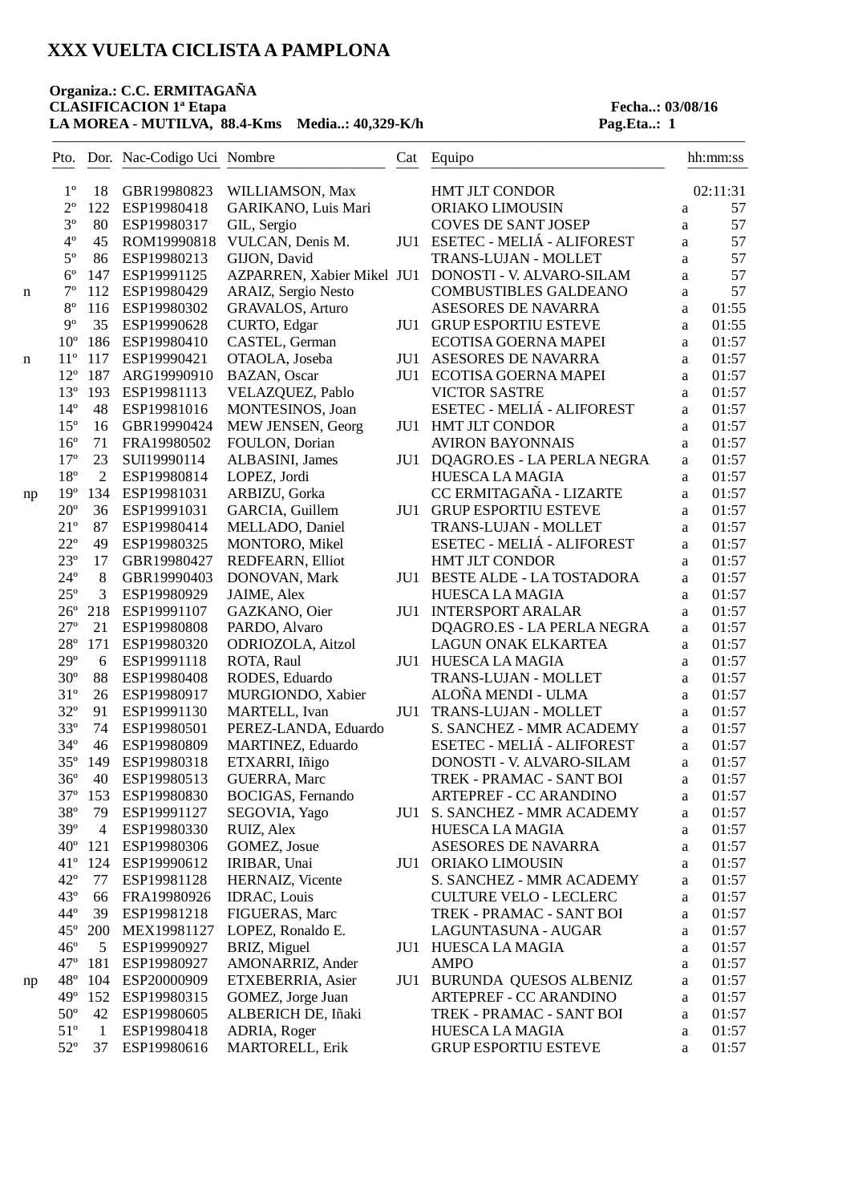#### **Organiza.: C.C. ERMITAGAÑA** CLASIFICACION<sup>1ª</sup> Etapa<br>
LA MOREA - MUTILVA, 88.4-Kms Media..: 40,329-K/h Pag.Eta..: 1 **LA MOREA - MUTILVA, 88.4-Kms Media..: 40,329-K/h**

|    |                              |                | Pto. Dor. Nac-Codigo Uci Nombre |                            | Cat | Equipo                           |              | hh:mm:ss       |
|----|------------------------------|----------------|---------------------------------|----------------------------|-----|----------------------------------|--------------|----------------|
|    | $1^{\circ}$                  | 18             | GBR19980823                     | WILLIAMSON, Max            |     | <b>HMT JLT CONDOR</b>            |              | 02:11:31       |
|    | $2^{\circ}$                  | 122            | ESP19980418                     | GARIKANO, Luis Mari        |     | ORIAKO LIMOUSIN                  | $\mathbf{a}$ | 57             |
|    | $3^{\circ}$                  | 80             | ESP19980317                     | GIL, Sergio                |     | <b>COVES DE SANT JOSEP</b>       | a            | 57             |
|    | $4^{\circ}$                  | 45             | ROM19990818                     | VULCAN, Denis M.           | JU1 | ESETEC - MELIÁ - ALIFOREST       | $\rm{a}$     | 57             |
|    | $5^{\circ}$                  | 86             | ESP19980213                     | GIJON, David               |     | TRANS-LUJAN - MOLLET             | a            | 57             |
|    | $6^{\circ}$                  | 147            | ESP19991125                     | AZPARREN, Xabier Mikel JU1 |     | DONOSTI - V. ALVARO-SILAM        | $\rm{a}$     | 57             |
| n  | $7^{\circ}$                  | 112            | ESP19980429                     | ARAIZ, Sergio Nesto        |     | <b>COMBUSTIBLES GALDEANO</b>     | $\rm{a}$     | 57             |
|    | $8^{\circ}$                  | 116            | ESP19980302                     | <b>GRAVALOS, Arturo</b>    |     | ASESORES DE NAVARRA              | a            | 01:55          |
|    | $9^{\circ}$                  | 35             | ESP19990628                     | CURTO, Edgar               | JU1 | <b>GRUP ESPORTIU ESTEVE</b>      | a            | 01:55          |
|    | $10^{\circ}$                 | 186            | ESP19980410                     | CASTEL, German             |     | ECOTISA GOERNA MAPEI             | a            | 01:57          |
| n  | $11^{\circ}$                 | 117            | ESP19990421                     | OTAOLA, Joseba             | JU1 | <b>ASESORES DE NAVARRA</b>       | a            | 01:57          |
|    | $12^{\circ}$                 | 187            | ARG19990910                     | BAZAN, Oscar               | JU1 | ECOTISA GOERNA MAPEI             | a            | 01:57          |
|    | $13^{\circ}$                 | 193            | ESP19981113                     | VELAZQUEZ, Pablo           |     | <b>VICTOR SASTRE</b>             | a            | 01:57          |
|    | $14^{\circ}$                 | 48             | ESP19981016                     | MONTESINOS, Joan           |     | ESETEC - MELIÁ - ALIFOREST       | a            | 01:57          |
|    | $15^{\circ}$                 | 16             | GBR19990424                     | MEW JENSEN, Georg          | JU1 | <b>HMT JLT CONDOR</b>            | a            | 01:57          |
|    | $16^{\circ}$                 | 71             | FRA19980502                     | FOULON, Dorian             |     | <b>AVIRON BAYONNAIS</b>          | a            | 01:57          |
|    | $17^{\circ}$                 | 23             | SUI19990114                     | ALBASINI, James            | JU1 | DQAGRO.ES - LA PERLA NEGRA       | a            | 01:57          |
|    | $18^{\circ}$                 | $\overline{2}$ | ESP19980814                     | LOPEZ, Jordi               |     | HUESCA LA MAGIA                  | a            | 01:57          |
|    | $19^{\circ}$                 | 134            | ESP19981031                     | ARBIZU, Gorka              |     | CC ERMITAGAÑA - LIZARTE          | $\rm{a}$     | 01:57          |
| np | $20^{\circ}$                 | 36             | ESP19991031                     | GARCIA, Guillem            | JU1 | <b>GRUP ESPORTIU ESTEVE</b>      |              | 01:57          |
|    | $21^{\circ}$                 | 87             | ESP19980414                     | MELLADO, Daniel            |     | TRANS-LUJAN - MOLLET             | a            | 01:57          |
|    | $22^{\circ}$                 | 49             |                                 |                            |     | ESETEC - MELIÁ - ALIFOREST       | a            |                |
|    |                              |                | ESP19980325                     | MONTORO, Mikel             |     |                                  | a            | 01:57<br>01:57 |
|    | $23^{\circ}$<br>$24^{\circ}$ | 17<br>8        | GBR19980427                     | REDFEARN, Elliot           |     | HMT JLT CONDOR                   | $\rm{a}$     |                |
|    |                              |                | GBR19990403                     | DONOVAN, Mark              | JU1 | <b>BESTE ALDE - LA TOSTADORA</b> | $\rm{a}$     | 01:57          |
|    | $25^{\circ}$                 | 3              | ESP19980929                     | JAIME, Alex                |     | <b>HUESCA LA MAGIA</b>           | a            | 01:57          |
|    | $26^{\circ}$                 | 218            | ESP19991107                     | GAZKANO, Oier              | JU1 | <b>INTERSPORT ARALAR</b>         | $\rm{a}$     | 01:57          |
|    | $27^{\circ}$                 | 21             | ESP19980808                     | PARDO, Alvaro              |     | DQAGRO.ES - LA PERLA NEGRA       | a            | 01:57          |
|    | $28^{\circ}$                 | 171            | ESP19980320                     | ODRIOZOLA, Aitzol          |     | LAGUN ONAK ELKARTEA              | a            | 01:57          |
|    | $29^{\circ}$                 | 6              | ESP19991118                     | ROTA, Raul                 | JU1 | <b>HUESCA LA MAGIA</b>           | a            | 01:57          |
|    | $30^{\circ}$                 | 88             | ESP19980408                     | RODES, Eduardo             |     | TRANS-LUJAN - MOLLET             | a            | 01:57          |
|    | $31^{\circ}$                 | 26             | ESP19980917                     | MURGIONDO, Xabier          |     | ALOÑA MENDI - ULMA               | a            | 01:57          |
|    | $32^{\circ}$                 | 91             | ESP19991130                     | MARTELL, Ivan              | JU1 | TRANS-LUJAN - MOLLET             | $\rm{a}$     | 01:57          |
|    | $33^{\circ}$                 | 74             | ESP19980501                     | PEREZ-LANDA, Eduardo       |     | S. SANCHEZ - MMR ACADEMY         | $\rm{a}$     | 01:57          |
|    | $34^{\circ}$                 | 46             | ESP19980809                     | MARTINEZ, Eduardo          |     | ESETEC - MELIÁ - ALIFOREST       | a            | 01:57          |
|    | $35^{\circ}$                 | 149            | ESP19980318                     | ETXARRI, Iñigo             |     | DONOSTI - V. ALVARO-SILAM        | $\mathbf{a}$ | 01:57          |
|    | $36^{\circ}$                 | 40             | ESP19980513                     | <b>GUERRA, Marc</b>        |     | TREK - PRAMAC - SANT BOI         | a            | 01:57          |
|    | 37°                          |                | 153 ESP19980830                 | BOCIGAS, Fernando          |     | <b>ARTEPREF - CC ARANDINO</b>    | a            | 01:57          |
|    | $38^{\circ}$                 | 79             | ESP19991127                     | SEGOVIA, Yago              | JU1 | S. SANCHEZ - MMR ACADEMY         | a            | 01:57          |
|    | $39^\circ$                   | $\overline{4}$ | ESP19980330                     | RUIZ, Alex                 |     | <b>HUESCA LA MAGIA</b>           | a            | 01:57          |
|    | $40^{\circ}$                 | 121            | ESP19980306                     | GOMEZ, Josue               |     | ASESORES DE NAVARRA              | a            | 01:57          |
|    | $41^{\circ}$                 | 124            | ESP19990612                     | IRIBAR, Unai               | JU1 | ORIAKO LIMOUSIN                  | a            | 01:57          |
|    | $42^{\circ}$                 | 77             | ESP19981128                     | HERNAIZ, Vicente           |     | S. SANCHEZ - MMR ACADEMY         | a            | 01:57          |
|    | $43^{\circ}$                 | 66             | FRA19980926                     | IDRAC, Louis               |     | <b>CULTURE VELO - LECLERC</b>    | a            | 01:57          |
|    | $44^{\circ}$                 | 39             | ESP19981218                     | FIGUERAS, Marc             |     | TREK - PRAMAC - SANT BOI         | a            | 01:57          |
|    | $45^{\circ}$                 | <b>200</b>     | MEX19981127                     | LOPEZ, Ronaldo E.          |     | LAGUNTASUNA - AUGAR              | a            | 01:57          |
|    | $46^{\circ}$                 | 5              | ESP19990927                     | BRIZ, Miguel               |     | JU1 HUESCA LA MAGIA              | a            | 01:57          |
|    | $47^{\circ}$                 | 181            | ESP19980927                     | AMONARRIZ, Ander           |     | <b>AMPO</b>                      | a            | 01:57          |
| np | $48^{\circ}$                 | 104            | ESP20000909                     | ETXEBERRIA, Asier          |     | JU1 BURUNDA QUESOS ALBENIZ       | a            | 01:57          |
|    | $49^\circ$                   | 152            | ESP19980315                     | GOMEZ, Jorge Juan          |     | ARTEPREF - CC ARANDINO           | a            | 01:57          |
|    | $50^{\circ}$                 | 42             | ESP19980605                     | ALBERICH DE, Iñaki         |     | TREK - PRAMAC - SANT BOI         | a            | 01:57          |
|    | $51^{\circ}$                 | $\mathbf{1}$   | ESP19980418                     | ADRIA, Roger               |     | HUESCA LA MAGIA                  | a            | 01:57          |
|    | $52^{\circ}$                 | 37             | ESP19980616                     | <b>MARTORELL, Erik</b>     |     | <b>GRUP ESPORTIU ESTEVE</b>      | a            | 01:57          |
|    |                              |                |                                 |                            |     |                                  |              |                |

———————————————————————————————————————————————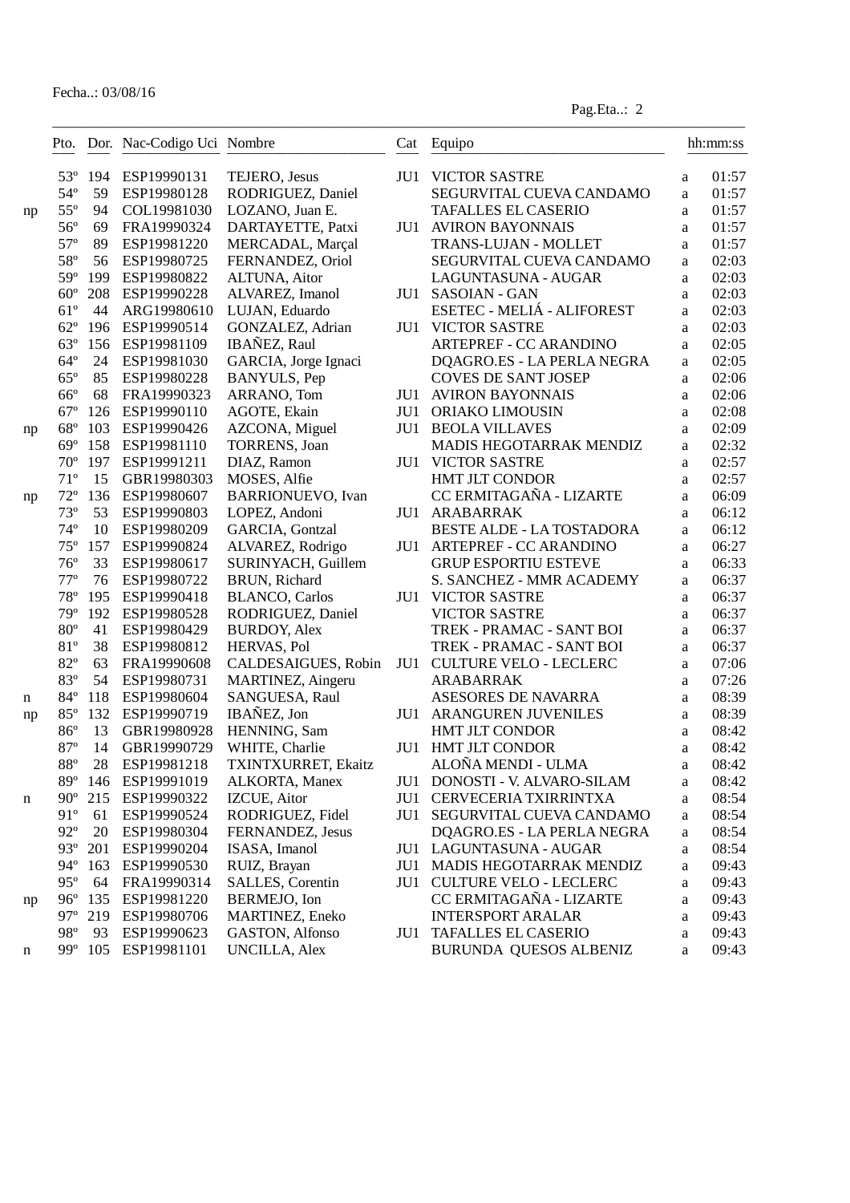|    |                              |           | Pto. Dor. Nac-Codigo Uci Nombre |                                  | Cat | Equipo                                                 |              | hh:mm:ss       |
|----|------------------------------|-----------|---------------------------------|----------------------------------|-----|--------------------------------------------------------|--------------|----------------|
|    | $53^{\circ}$                 | 194       | ESP19990131                     | TEJERO, Jesus                    | JU1 | <b>VICTOR SASTRE</b>                                   | a            | 01:57          |
|    | $54^{\circ}$                 | 59        | ESP19980128                     | RODRIGUEZ, Daniel                |     | SEGURVITAL CUEVA CANDAMO                               | a            | 01:57          |
| np | $55^{\circ}$                 | 94        | COL19981030                     | LOZANO, Juan E.                  |     | <b>TAFALLES EL CASERIO</b>                             | a            | 01:57          |
|    | $56^{\circ}$                 | 69        | FRA19990324                     | DARTAYETTE, Patxi                | JU1 | <b>AVIRON BAYONNAIS</b>                                | a            | 01:57          |
|    | $57^{\circ}$                 | 89        | ESP19981220                     | MERCADAL, Marçal                 |     | TRANS-LUJAN - MOLLET                                   | a            | 01:57          |
|    | 58°                          | 56        | ESP19980725                     | FERNANDEZ, Oriol                 |     | SEGURVITAL CUEVA CANDAMO                               | a            | 02:03          |
|    | 59°                          | 199       | ESP19980822                     | ALTUNA, Aitor                    |     | LAGUNTASUNA - AUGAR                                    | a            | 02:03          |
|    | $60^{\circ}$                 | 208       | ESP19990228                     | ALVAREZ, Imanol                  | JU1 | <b>SASOIAN - GAN</b>                                   | a            | 02:03          |
|    | $61^{\circ}$                 | 44        | ARG19980610                     | LUJAN, Eduardo                   |     | ESETEC - MELIÁ - ALIFOREST                             | a            | 02:03          |
|    | $62^{\circ}$                 | 196       | ESP19990514                     | GONZALEZ, Adrian                 | JU1 | <b>VICTOR SASTRE</b>                                   | a            | 02:03          |
|    | $63^\circ$                   | 156       | ESP19981109                     | IBAÑEZ, Raul                     |     | <b>ARTEPREF - CC ARANDINO</b>                          | a            | 02:05          |
|    | $64^{\circ}$                 | 24        | ESP19981030                     | GARCIA, Jorge Ignaci             |     | DQAGRO.ES - LA PERLA NEGRA                             | a            | 02:05          |
|    | $65^{\circ}$                 | 85        | ESP19980228                     | <b>BANYULS</b> , Pep             |     | <b>COVES DE SANT JOSEP</b>                             | a            | 02:06          |
|    | $66^{\circ}$                 | 68        | FRA19990323                     | ARRANO, Tom                      | JU1 | <b>AVIRON BAYONNAIS</b>                                | a            | 02:06          |
|    | $67^\circ$                   | 126       | ESP19990110                     | AGOTE, Ekain                     | JU1 | ORIAKO LIMOUSIN                                        | a            | 02:08          |
| np | $68^{\circ}$                 | 103       | ESP19990426                     | AZCONA, Miguel                   | JU1 | <b>BEOLA VILLAVES</b>                                  | a            | 02:09          |
|    | $69^\circ$                   | 158       | ESP19981110                     | <b>TORRENS</b> , Joan            |     | MADIS HEGOTARRAK MENDIZ                                | a            | 02:32          |
|    | $70^{\circ}$                 | 197       | ESP19991211                     | DIAZ, Ramon                      | JU1 | <b>VICTOR SASTRE</b>                                   | a            | 02:57          |
|    | $71^{\circ}$                 | 15        | GBR19980303                     | MOSES, Alfie                     |     | <b>HMT JLT CONDOR</b>                                  | a            | 02:57          |
| np | $72^{\circ}$                 | 136       | ESP19980607                     | <b>BARRIONUEVO, Ivan</b>         |     | CC ERMITAGAÑA - LIZARTE                                | a            | 06:09          |
|    | $73^{\circ}$                 | 53        | ESP19990803                     | LOPEZ, Andoni                    | JU1 | ARABARRAK                                              | a            | 06:12          |
|    | $74^{\circ}$                 | 10        | ESP19980209                     | <b>GARCIA</b> , Gontzal          |     | BESTE ALDE - LA TOSTADORA                              | a            | 06:12          |
|    | $75^{\circ}$                 | 157       | ESP19990824                     | ALVAREZ, Rodrigo                 | JU1 | ARTEPREF - CC ARANDINO                                 | a            | 06:27          |
|    | $76^{\circ}$                 | 33        | ESP19980617                     | SURINYACH, Guillem               |     | <b>GRUP ESPORTIU ESTEVE</b>                            | a            | 06:33          |
|    | $77^{\circ}$                 | 76        | ESP19980722                     | BRUN, Richard                    |     | S. SANCHEZ - MMR ACADEMY                               | a            | 06:37          |
|    | $78^{\circ}$                 | 195       | ESP19990418                     | <b>BLANCO</b> , Carlos           | JU1 | <b>VICTOR SASTRE</b>                                   | a            | 06:37          |
|    | 79°                          | 192       | ESP19980528                     | RODRIGUEZ, Daniel                |     | <b>VICTOR SASTRE</b>                                   | a            | 06:37          |
|    | $80^{\circ}$                 | 41        | ESP19980429                     | <b>BURDOY, Alex</b>              |     | TREK - PRAMAC - SANT BOI                               | a            | 06:37          |
|    | 81°                          | 38        | ESP19980812                     | HERVAS, Pol                      |     | TREK - PRAMAC - SANT BOI                               | $\mathbf{a}$ | 06:37          |
|    | $82^{\circ}$                 | 63        | FRA19990608                     | CALDESAIGUES, Robin              | JU1 | <b>CULTURE VELO - LECLERC</b>                          | a            | 07:06          |
|    | 83°                          | 54        | ESP19980731                     | MARTINEZ, Aingeru                |     | ARABARRAK                                              | a            | 07:26          |
|    | $84^{\circ}$                 | 118       | ESP19980604                     | SANGUESA, Raul                   |     | ASESORES DE NAVARRA                                    | a            | 08:39          |
| n  | $85^{\circ}$                 | 132       | ESP19990719                     | IBAÑEZ, Jon                      | JU1 | ARANGUREN JUVENILES                                    | $\mathbf{a}$ | 08:39          |
| np | $86^{\circ}$                 | 13        | GBR19980928                     | HENNING, Sam                     |     | <b>HMT JLT CONDOR</b>                                  | a            | 08:42          |
|    | $87^\circ$                   | 14        | GBR19990729                     | WHITE, Charlie                   |     | JU1 HMT JLT CONDOR                                     | a            | 08:42          |
|    | $88^{\circ}$                 | 28        | ESP19981218                     | TXINTXURRET, Ekaitz              |     | ALOÑA MENDI - ULMA                                     |              | 08:42          |
|    | 89°                          |           | ESP19991019                     |                                  |     | DONOSTI - V. ALVARO-SILAM                              | a            | 08:42          |
|    | $90^{\circ}$                 | 146       | ESP19990322                     | ALKORTA, Manex                   | JU1 |                                                        | a            |                |
| n  | $91^{\circ}$                 | 215       |                                 | IZCUE, Aitor<br>RODRIGUEZ, Fidel | JU1 | CERVECERIA TXIRRINTXA                                  | a            | 08:54          |
|    | $92^{\circ}$                 | 61<br>20  | ESP19990524                     | FERNANDEZ, Jesus                 | JU1 | SEGURVITAL CUEVA CANDAMO                               | a            | 08:54<br>08:54 |
|    | $93^\circ$                   |           | ESP19980304<br>ESP19990204      | ISASA, Imanol                    |     | DQAGRO.ES - LA PERLA NEGRA<br>JU1 LAGUNTASUNA - AUGAR  | a            | 08:54          |
|    |                              | 201       |                                 |                                  |     | MADIS HEGOTARRAK MENDIZ                                | a            |                |
|    | $94^\circ$<br>$95^\circ$     | 163<br>64 | ESP19990530                     | RUIZ, Brayan                     | JU1 |                                                        | a            | 09:43          |
|    |                              |           | FRA19990314                     | SALLES, Corentin                 |     | JU1 CULTURE VELO - LECLERC<br>CC ERMITAGAÑA - LIZARTE  | a            | 09:43          |
| np | $96^{\circ}$<br>$97^{\circ}$ | 135       | ESP19981220                     | BERMEJO, Ion                     |     |                                                        | a            | 09:43          |
|    | $98^{\circ}$                 | 219       | ESP19980706                     | MARTINEZ, Eneko                  |     | <b>INTERSPORT ARALAR</b><br><b>TAFALLES EL CASERIO</b> | a            | 09:43          |
|    |                              | 93        | ESP19990623                     | GASTON, Alfonso                  | JU1 |                                                        | a            | 09:43          |
| n  | $99^\circ$                   | 105       | ESP19981101                     | <b>UNCILLA, Alex</b>             |     | BURUNDA QUESOS ALBENIZ                                 | a            | 09:43          |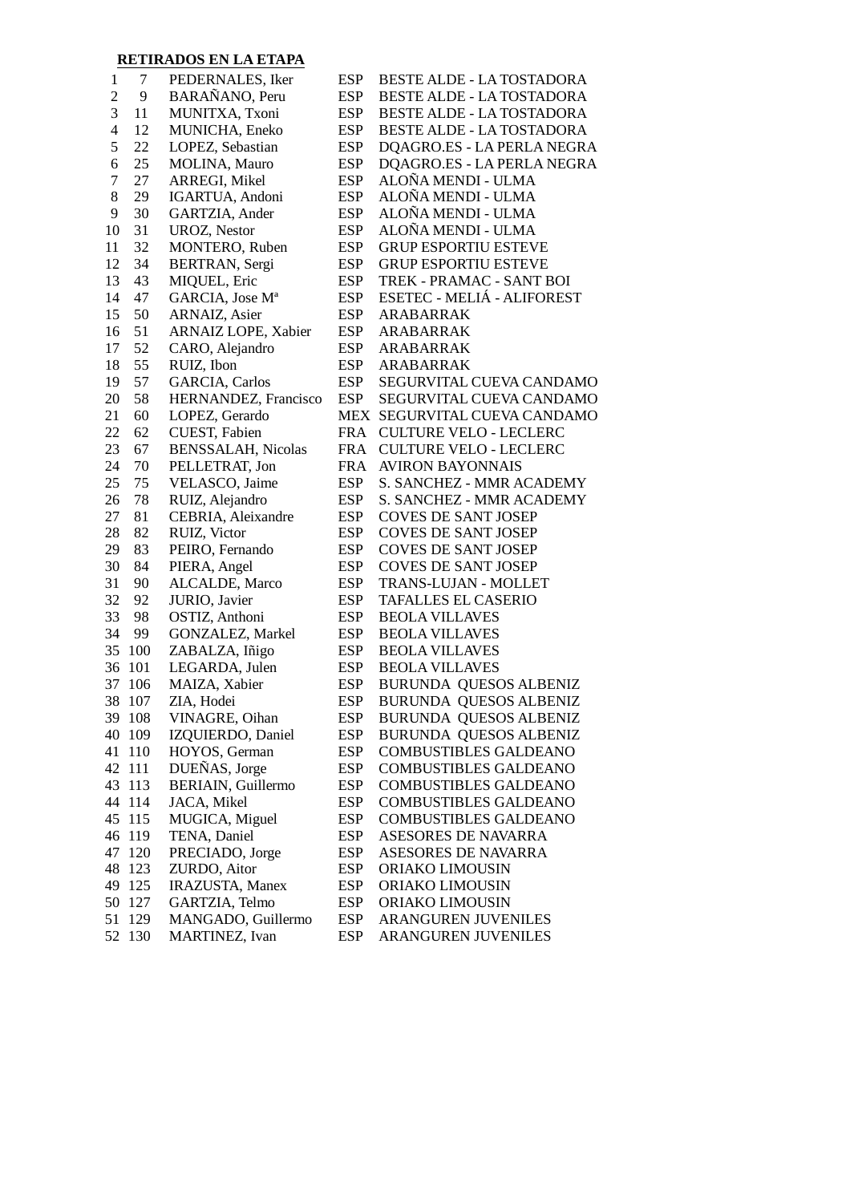### **RETIRADOS EN LA ETAPA**

| $\mathbf{1}$             | 7      | PEDERNALES, Iker            | <b>ESP</b> | BESTE ALDE - LA TOSTADORA                    |
|--------------------------|--------|-----------------------------|------------|----------------------------------------------|
| $\overline{c}$           | 9      | BARAÑANO, Peru              | <b>ESP</b> | BESTE ALDE - LA TOSTADORA                    |
| 3                        | 11     | MUNITXA, Txoni              | <b>ESP</b> | BESTE ALDE - LA TOSTADORA                    |
| $\overline{\mathcal{L}}$ | 12     | MUNICHA, Eneko              | <b>ESP</b> | BESTE ALDE - LA TOSTADORA                    |
| 5                        | 22     | LOPEZ, Sebastian            | <b>ESP</b> | DQAGRO.ES - LA PERLA NEGRA                   |
| $\boldsymbol{6}$         | 25     | MOLINA, Mauro               | <b>ESP</b> | DQAGRO.ES - LA PERLA NEGRA                   |
| $\overline{7}$           | 27     | ARREGI, Mikel               | <b>ESP</b> | ALOÑA MENDI - ULMA                           |
| $8\,$                    | 29     | IGARTUA, Andoni             | <b>ESP</b> | ALOÑA MENDI - ULMA                           |
| 9                        | 30     | GARTZIA, Ander              | <b>ESP</b> | ALOÑA MENDI - ULMA                           |
| 10                       | 31     | <b>UROZ, Nestor</b>         | <b>ESP</b> | ALOÑA MENDI - ULMA                           |
| 11                       | 32     | MONTERO, Ruben              | <b>ESP</b> | <b>GRUP ESPORTIU ESTEVE</b>                  |
| 12                       | 34     | BERTRAN, Sergi              | <b>ESP</b> | <b>GRUP ESPORTIU ESTEVE</b>                  |
| 13                       | 43     | MIQUEL, Eric                | <b>ESP</b> | TREK - PRAMAC - SANT BOI                     |
| 14                       | 47     | GARCIA, Jose M <sup>a</sup> | <b>ESP</b> | ESETEC - MELIÁ - ALIFOREST                   |
| 15                       | 50     | ARNAIZ, Asier               | <b>ESP</b> | ARABARRAK                                    |
| 16                       | 51     | ARNAIZ LOPE, Xabier         | <b>ESP</b> | ARABARRAK                                    |
| 17                       | 52     | CARO, Alejandro             | <b>ESP</b> | ARABARRAK                                    |
| 18                       | 55     | RUIZ, Ibon                  | <b>ESP</b> | ARABARRAK                                    |
| 19                       | 57     | <b>GARCIA</b> , Carlos      | <b>ESP</b> | SEGURVITAL CUEVA CANDAMO                     |
| 20                       | 58     | HERNANDEZ, Francisco        | <b>ESP</b> | SEGURVITAL CUEVA CANDAMO                     |
| 21                       | 60     | LOPEZ, Gerardo              |            | MEX SEGURVITAL CUEVA CANDAMO                 |
| 22                       | 62     | CUEST, Fabien               | FRA        | <b>CULTURE VELO - LECLERC</b>                |
| 23                       | 67     | <b>BENSSALAH, Nicolas</b>   | FRA        | <b>CULTURE VELO - LECLERC</b>                |
| 24                       | 70     | PELLETRAT, Jon              | FRA        | <b>AVIRON BAYONNAIS</b>                      |
| 25                       | 75     | VELASCO, Jaime              | <b>ESP</b> | S. SANCHEZ - MMR ACADEMY                     |
| 26                       | 78     | RUIZ, Alejandro             | <b>ESP</b> | S. SANCHEZ - MMR ACADEMY                     |
| 27                       | 81     | CEBRIA, Aleixandre          | <b>ESP</b> | <b>COVES DE SANT JOSEP</b>                   |
| 28                       | 82     | RUIZ, Victor                | <b>ESP</b> | <b>COVES DE SANT JOSEP</b>                   |
| 29                       | 83     | PEIRO, Fernando             | <b>ESP</b> | <b>COVES DE SANT JOSEP</b>                   |
| 30                       | 84     | PIERA, Angel                | <b>ESP</b> | <b>COVES DE SANT JOSEP</b>                   |
| 31                       | 90     | ALCALDE, Marco              | <b>ESP</b> | <b>TRANS-LUJAN - MOLLET</b>                  |
| 32                       | 92     | JURIO, Javier               | <b>ESP</b> | <b>TAFALLES EL CASERIO</b>                   |
| 33                       | 98     | OSTIZ, Anthoni              | <b>ESP</b> | <b>BEOLA VILLAVES</b>                        |
| 34                       | 99     | GONZALEZ, Markel            | <b>ESP</b> | <b>BEOLA VILLAVES</b>                        |
| 35                       | 100    | ZABALZA, Iñigo              | <b>ESP</b> | <b>BEOLA VILLAVES</b>                        |
| 36                       | 101    | LEGARDA, Julen              | <b>ESP</b> | <b>BEOLA VILLAVES</b>                        |
| 37                       | 106    | MAIZA, Xabier               | <b>ESP</b> | BURUNDA QUESOS ALBENIZ                       |
| 38                       | 107    | ZIA, Hodei                  | <b>ESP</b> | <b>BURUNDA QUESOS ALBENIZ</b>                |
|                          | 39 108 | VINAGRE, Oihan              | <b>ESP</b> | BURUNDA QUESOS ALBENIZ                       |
|                          | 40 109 | IZQUIERDO, Daniel           | <b>ESP</b> | <b>BURUNDA QUESOS ALBENIZ</b>                |
| 41                       | 110    | HOYOS, German               | <b>ESP</b> | COMBUSTIBLES GALDEANO                        |
|                          | 42 111 | DUEÑAS, Jorge               | <b>ESP</b> | <b>COMBUSTIBLES GALDEANO</b>                 |
|                          | 43 113 | BERIAIN, Guillermo          | <b>ESP</b> | <b>COMBUSTIBLES GALDEANO</b>                 |
|                          |        |                             |            | <b>COMBUSTIBLES GALDEANO</b>                 |
|                          | 44 114 | JACA, Mikel                 | <b>ESP</b> |                                              |
|                          | 45 115 | MUGICA, Miguel              | <b>ESP</b> | COMBUSTIBLES GALDEANO<br>ASESORES DE NAVARRA |
|                          | 46 119 | TENA, Daniel                | <b>ESP</b> |                                              |
| 47                       | 120    | PRECIADO, Jorge             | <b>ESP</b> | ASESORES DE NAVARRA                          |
| 48                       | 123    | ZURDO, Aitor                | <b>ESP</b> | ORIAKO LIMOUSIN                              |
| 49                       | 125    | IRAZUSTA, Manex             | <b>ESP</b> | ORIAKO LIMOUSIN                              |
| 50                       | 127    | GARTZIA, Telmo              | <b>ESP</b> | ORIAKO LIMOUSIN                              |
| 51                       | 129    | MANGADO, Guillermo          | <b>ESP</b> | ARANGUREN JUVENILES                          |
| 52                       | 130    | MARTINEZ, Ivan              | <b>ESP</b> | ARANGUREN JUVENILES                          |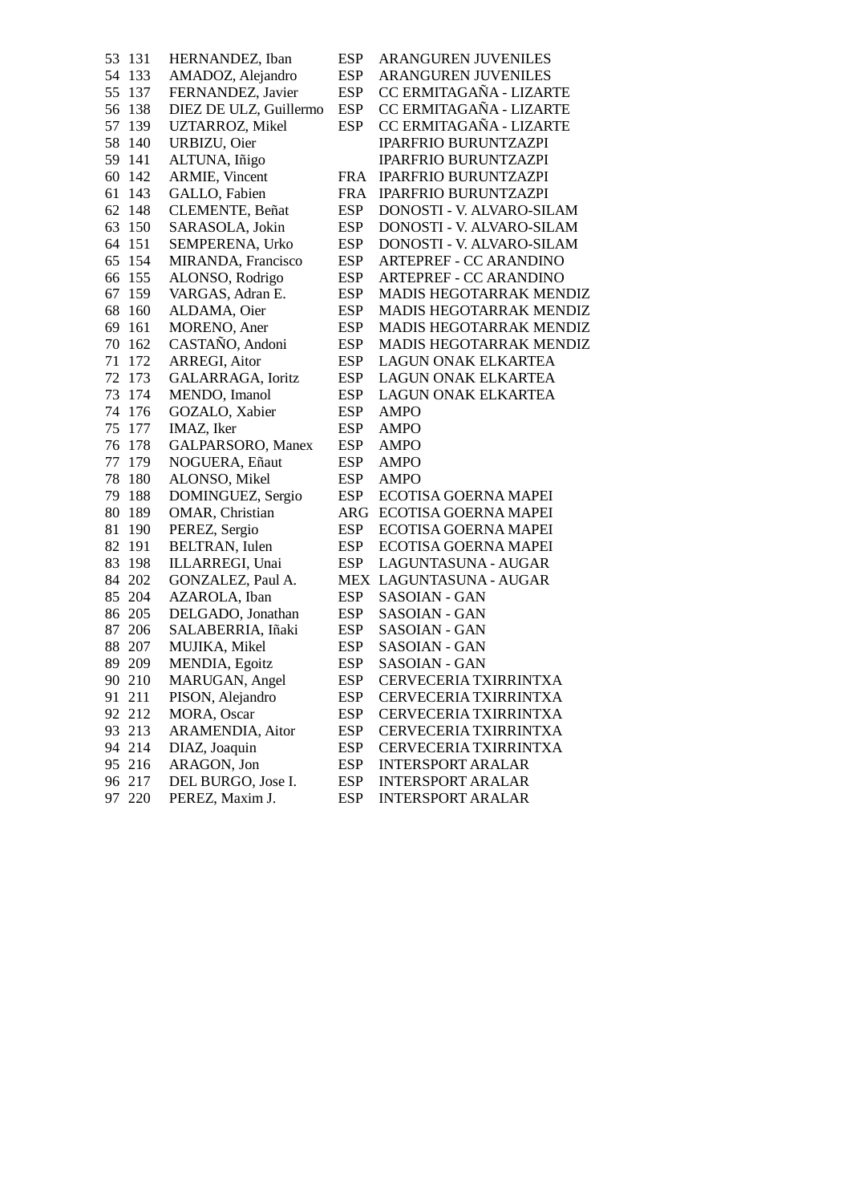| 53 | 131    | HERNANDEZ, Iban        | <b>ESP</b> | <b>ARANGUREN JUVENILES</b>  |
|----|--------|------------------------|------------|-----------------------------|
| 54 | 133    | AMADOZ, Alejandro      | <b>ESP</b> | <b>ARANGUREN JUVENILES</b>  |
| 55 | 137    | FERNANDEZ, Javier      | <b>ESP</b> | CC ERMITAGAÑA - LIZARTE     |
| 56 | 138    | DIEZ DE ULZ, Guillermo | <b>ESP</b> | CC ERMITAGAÑA - LIZARTE     |
| 57 | 139    | UZTARROZ, Mikel        | <b>ESP</b> | CC ERMITAGAÑA - LIZARTE     |
| 58 | 140    | URBIZU, Oier           |            | <b>IPARFRIO BURUNTZAZPI</b> |
| 59 | 141    | ALTUNA, Iñigo          |            | <b>IPARFRIO BURUNTZAZPI</b> |
| 60 | 142    | <b>ARMIE</b> , Vincent | <b>FRA</b> | IPARFRIO BURUNTZAZPI        |
| 61 | 143    | GALLO, Fabien          | <b>FRA</b> | IPARFRIO BURUNTZAZPI        |
| 62 | 148    | CLEMENTE, Beñat        | <b>ESP</b> | DONOSTI - V. ALVARO-SILAM   |
| 63 | 150    | SARASOLA, Jokin        | <b>ESP</b> | DONOSTI - V. ALVARO-SILAM   |
| 64 | 151    | SEMPERENA, Urko        | <b>ESP</b> | DONOSTI - V. ALVARO-SILAM   |
| 65 | 154    | MIRANDA, Francisco     | <b>ESP</b> | ARTEPREF - CC ARANDINO      |
| 66 | 155    | ALONSO, Rodrigo        | <b>ESP</b> | ARTEPREF - CC ARANDINO      |
| 67 | 159    | VARGAS, Adran E.       | <b>ESP</b> | MADIS HEGOTARRAK MENDIZ     |
| 68 | 160    | ALDAMA, Oier           | <b>ESP</b> | MADIS HEGOTARRAK MENDIZ     |
| 69 | 161    | MORENO, Aner           | <b>ESP</b> | MADIS HEGOTARRAK MENDIZ     |
| 70 | 162    | CASTAÑO, Andoni        | <b>ESP</b> | MADIS HEGOTARRAK MENDIZ     |
| 71 | 172    | <b>ARREGI, Aitor</b>   | <b>ESP</b> | <b>LAGUN ONAK ELKARTEA</b>  |
| 72 | 173    | GALARRAGA, Ioritz      | <b>ESP</b> | <b>LAGUN ONAK ELKARTEA</b>  |
| 73 | 174    | MENDO, Imanol          | <b>ESP</b> | <b>LAGUN ONAK ELKARTEA</b>  |
| 74 | 176    | GOZALO, Xabier         | <b>ESP</b> | <b>AMPO</b>                 |
| 75 | 177    | IMAZ, Iker             | <b>ESP</b> | <b>AMPO</b>                 |
| 76 | 178    | GALPARSORO, Manex      | <b>ESP</b> | <b>AMPO</b>                 |
| 77 | 179    | NOGUERA, Eñaut         | <b>ESP</b> | <b>AMPO</b>                 |
| 78 | 180    | ALONSO, Mikel          | <b>ESP</b> | AMPO                        |
| 79 | 188    | DOMINGUEZ, Sergio      | <b>ESP</b> | ECOTISA GOERNA MAPEI        |
| 80 | 189    | OMAR, Christian        | ARG        | ECOTISA GOERNA MAPEI        |
| 81 | 190    | PEREZ, Sergio          | <b>ESP</b> | ECOTISA GOERNA MAPEI        |
| 82 | 191    | BELTRAN, Iulen         | <b>ESP</b> | ECOTISA GOERNA MAPEI        |
| 83 | 198    | ILLARREGI, Unai        | <b>ESP</b> | LAGUNTASUNA - AUGAR         |
| 84 | 202    | GONZALEZ, Paul A.      |            | MEX LAGUNTASUNA - AUGAR     |
| 85 | 204    | AZAROLA, Iban          | <b>ESP</b> | SASOIAN - GAN               |
| 86 | 205    | DELGADO, Jonathan      | <b>ESP</b> | SASOIAN - GAN               |
| 87 | 206    | SALABERRIA, Iñaki      | <b>ESP</b> | SASOIAN - GAN               |
| 88 | 207    | MUJIKA, Mikel          | <b>ESP</b> | SASOIAN - GAN               |
| 89 | 209    | MENDIA, Egoitz         | <b>ESP</b> | SASOIAN - GAN               |
| 90 | 210    | MARUGAN, Angel         | <b>ESP</b> | CERVECERIA TXIRRINTXA       |
|    | 91 211 | PISON, Alejandro       | <b>ESP</b> | CERVECERIA TXIRRINTXA       |
|    | 92 212 | MORA, Oscar            | <b>ESP</b> | CERVECERIA TXIRRINTXA       |
|    | 93 213 | ARAMENDIA, Aitor       | <b>ESP</b> | CERVECERIA TXIRRINTXA       |
|    | 94 214 | DIAZ, Joaquin          | <b>ESP</b> | CERVECERIA TXIRRINTXA       |
|    | 95 216 | ARAGON, Jon            | <b>ESP</b> | <b>INTERSPORT ARALAR</b>    |
|    | 96 217 | DEL BURGO, Jose I.     | <b>ESP</b> | <b>INTERSPORT ARALAR</b>    |
|    | 97 220 | PEREZ, Maxim J.        | <b>ESP</b> | <b>INTERSPORT ARALAR</b>    |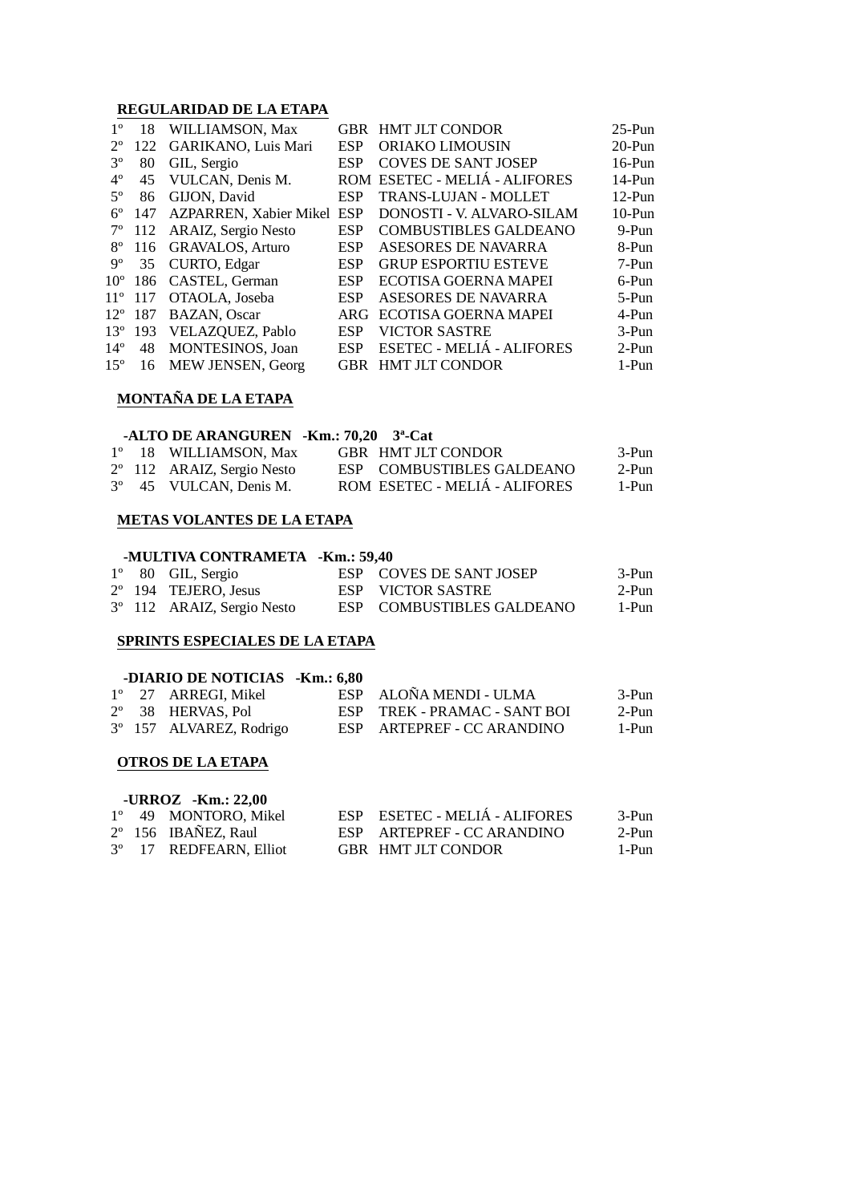#### **REGULARIDAD DE LA ETAPA**

| $1^{\circ}$  | 18               | WILLIAMSON, Max               |            | <b>GBR HMT JLT CONDOR</b>     | $25-Pun$ |
|--------------|------------------|-------------------------------|------------|-------------------------------|----------|
| $2^{\circ}$  | 122              | GARIKANO, Luis Mari           | <b>ESP</b> | ORIAKO LIMOUSIN               | $20-Pun$ |
| $3^{\circ}$  | 80               | GIL, Sergio                   | <b>ESP</b> | <b>COVES DE SANT JOSEP</b>    | $16-Pun$ |
| $4^{\circ}$  | 45               | VULCAN, Denis M.              |            | ROM ESETEC - MELIÁ - ALIFORES | 14-Pun   |
| $5^\circ$    | 86               | GIJON, David                  | <b>ESP</b> | TRANS-LUJAN - MOLLET          | $12-Pun$ |
| $6^{\circ}$  | 147              | <b>AZPARREN, Xabier Mikel</b> | <b>ESP</b> | DONOSTI - V. ALVARO-SILAM     | $10-Pun$ |
| $7^{\circ}$  | 112              | ARAIZ, Sergio Nesto           | <b>ESP</b> | <b>COMBUSTIBLES GALDEANO</b>  | 9-Pun    |
| $8^{\circ}$  |                  | 116 GRAVALOS, Arturo          | <b>ESP</b> | ASESORES DE NAVARRA           | 8-Pun    |
| $9^{\circ}$  | 35               | CURTO, Edgar                  | <b>ESP</b> | <b>GRUP ESPORTIU ESTEVE</b>   | 7-Pun    |
| $10^{\circ}$ | 186              | CASTEL, German                | <b>ESP</b> | ECOTISA GOERNA MAPEI          | 6-Pun    |
| $11^{\circ}$ | 117              | OTAOLA, Joseba                | <b>ESP</b> | ASESORES DE NAVARRA           | $5-Pun$  |
|              | $12^{\circ}$ 187 | <b>BAZAN, Oscar</b>           | ARG        | ECOTISA GOERNA MAPEI          | 4-Pun    |
|              | $13^{\circ}$ 193 | VELAZQUEZ, Pablo              | <b>ESP</b> | <b>VICTOR SASTRE</b>          | $3-Pun$  |
| $14^{\circ}$ | 48               | MONTESINOS, Joan              | <b>ESP</b> | ESETEC - MELIÁ - ALIFORES     | $2-Pun$  |
| $15^{\circ}$ | -16              | MEW JENSEN, Georg             |            | <b>GBR HMT JLT CONDOR</b>     | 1-Pun    |
|              |                  |                               |            |                               |          |

#### **MONTAÑA DE LA ETAPA**

|  | -ALTO DE ARANGUREN -Km.: 70,20 3 <sup>a</sup> -Cat |                               |       |
|--|----------------------------------------------------|-------------------------------|-------|
|  | 1° 18 WILLIAMSON, Max                              | GBR HMT JLT CONDOR            | 3-Pun |
|  | 2° 112 ARAIZ, Sergio Nesto                         | ESP COMBUSTIBLES GALDEANO     | 2-Pun |
|  | 3° 45 VULCAN, Denis M.                             | ROM ESETEC - MELIÁ - ALIFORES | 1-Pun |

#### **METAS VOLANTES DE LA ETAPA**

#### **-MULTIVA CONTRAMETA -Km.: 59,40**

|  | $1^{\circ}$ 80 GIL, Sergio             | ESP COVES DE SANT JOSEP   | 3-Pun |
|--|----------------------------------------|---------------------------|-------|
|  | 2° 194 TEJERO. Jesus                   | ESP VICTOR SASTRE         | 2-Pun |
|  | 3 <sup>°</sup> 112 ARAIZ, Sergio Nesto | ESP COMBUSTIBLES GALDEANO | 1-Pun |

#### **SPRINTS ESPECIALES DE LA ETAPA**

|  | -DIARIO DE NOTICIAS -Km.: 6,80 |                              |       |
|--|--------------------------------|------------------------------|-------|
|  | 1° 27 ARREGI, Mikel            | ESP ALOÑA MENDI - ULMA       | 3-Pun |
|  | 2° 38 HERVAS, Pol              | ESP TREK - PRAMAC - SANT BOI | 2-Pun |
|  | 3° 157 ALVAREZ, Rodrigo        | ESP ARTEPREF - CC ARANDINO   | 1-Pun |

#### **OTROS DE LA ETAPA**

|  | $-URROZ - Km.$ : 22.00       |                               |         |
|--|------------------------------|-------------------------------|---------|
|  | 1° 49 MONTORO, Mikel         | ESP ESETEC - MELIÁ - ALIFORES | $3-Pun$ |
|  | $2^{\circ}$ 156 IBAÑEZ, Raul | ESP ARTEPREF - CC ARANDINO    | $2-Pun$ |
|  | 3° 17 REDFEARN, Elliot       | GBR HMT JLT CONDOR            | 1-Pun   |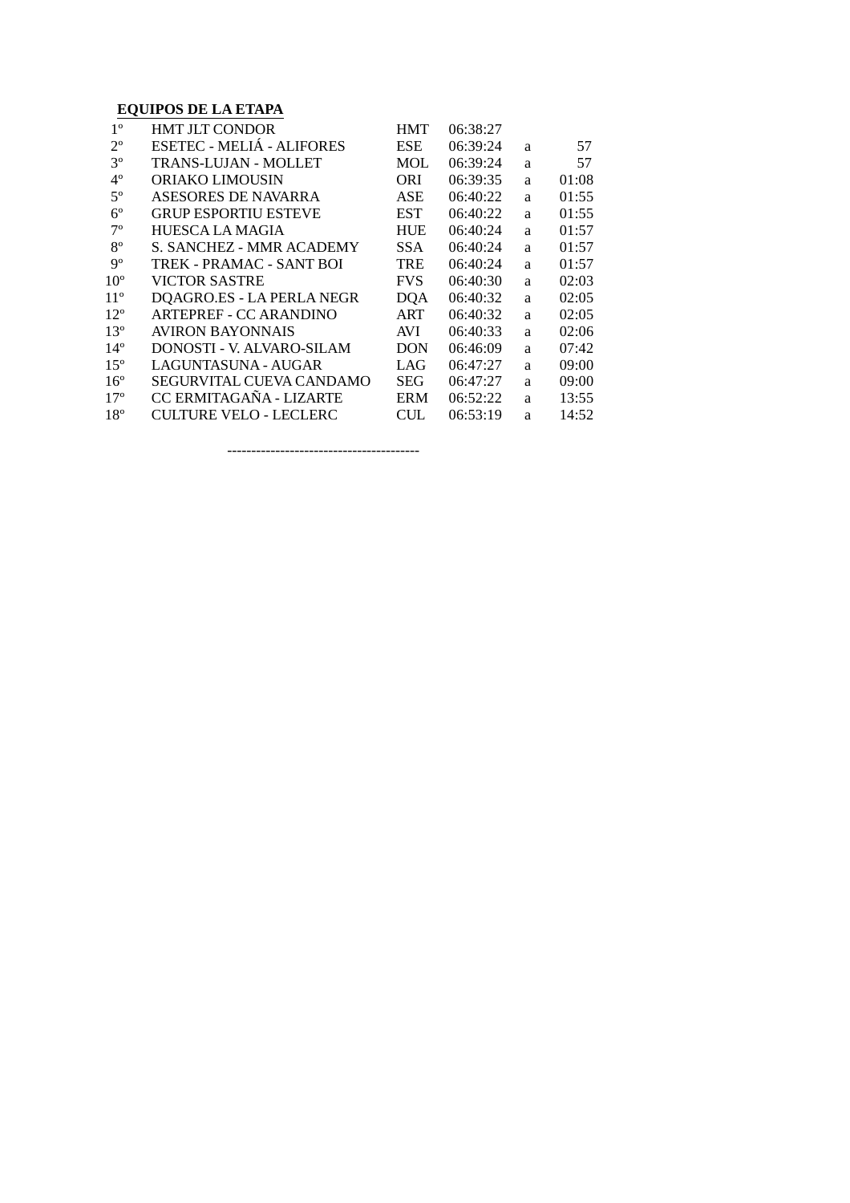### **EQUIPOS DE LA ETAPA**

| $1^{\circ}$     | <b>HMT JLT CONDOR</b>         | <b>HMT</b> | 06:38:27 |   |       |
|-----------------|-------------------------------|------------|----------|---|-------|
| $2^{\circ}$     | ESETEC - MELIÁ - ALIFORES     | ESE        | 06:39:24 | a | 57    |
| $3^{\circ}$     | <b>TRANS-LUJAN - MOLLET</b>   | <b>MOL</b> | 06:39:24 | a | 57    |
| $4^{\circ}$     | <b>ORIAKO LIMOUSIN</b>        | ORI        | 06:39:35 | a | 01:08 |
| $5^{\circ}$     | ASESORES DE NAVARRA           | ASE        | 06:40:22 | a | 01:55 |
| $6^{\circ}$     | <b>GRUP ESPORTIU ESTEVE</b>   | <b>EST</b> | 06:40:22 | a | 01:55 |
| $7^{\circ}$     | <b>HUESCA LA MAGIA</b>        | <b>HUE</b> | 06:40:24 | a | 01:57 |
| $8^{\circ}$     | S. SANCHEZ - MMR ACADEMY      | <b>SSA</b> | 06:40:24 | a | 01:57 |
| $9^{\rm o}$     | TREK - PRAMAC - SANT BOI      | TRE        | 06:40:24 | a | 01:57 |
| 10 <sup>o</sup> | <b>VICTOR SASTRE</b>          | <b>FVS</b> | 06:40:30 | a | 02:03 |
| $11^{\circ}$    | DQAGRO.ES - LA PERLA NEGR     | <b>DQA</b> | 06:40:32 | a | 02:05 |
| $12^{\circ}$    | ARTEPREF - CC ARANDINO        | ART        | 06:40:32 | a | 02:05 |
| 13 <sup>°</sup> | AVIRON BAYONNAIS              | AVI        | 06:40:33 | a | 02:06 |
| $14^{\circ}$    | DONOSTI - V. ALVARO-SILAM     | <b>DON</b> | 06:46:09 | a | 07:42 |
| $15^{\circ}$    | LAGUNTASUNA - AUGAR           | LAG        | 06:47:27 | a | 09:00 |
| 16 <sup>°</sup> | SEGURVITAL CUEVA CANDAMO      | <b>SEG</b> | 06:47:27 | a | 09:00 |
| $17^{\circ}$    | CC ERMITAGAÑA - LIZARTE       | <b>ERM</b> | 06:52:22 | a | 13:55 |
| 18 <sup>o</sup> | <b>CULTURE VELO - LECLERC</b> | <b>CUL</b> | 06:53:19 | a | 14:52 |

----------------------------------------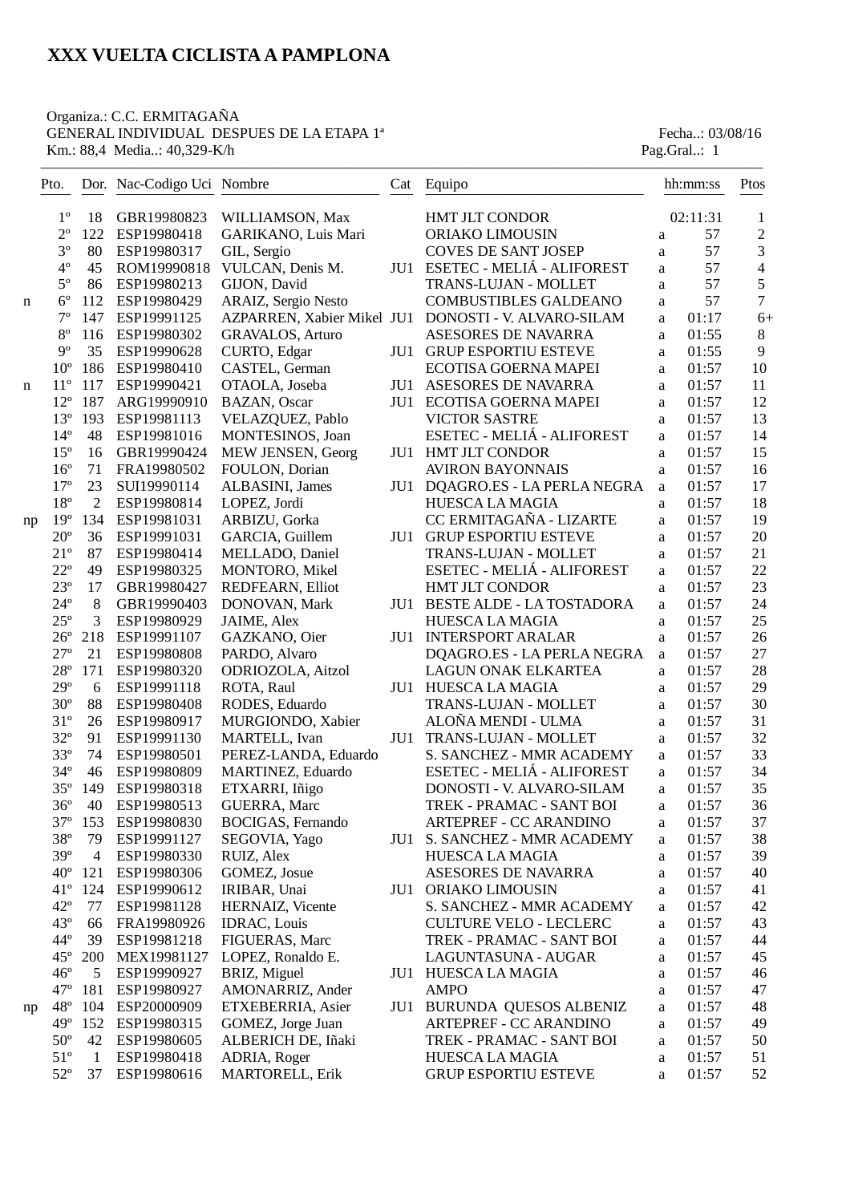# Organiza.: C.C. ERMITAGAÑA GENERAL INDIVIDUAL DESPUES DE LA ETAPA 1<sup>ª</sup> Fecha..: 03/08/16<br>
Km.: 88,4 Media..: 40,329-K/h<br>
Pag.Gral..: 1

Km.: 88,4 Media..: 40,329-K/h

|    | Pto.                         |                 | Dor. Nac-Codigo Uci Nombre |                                  | Cat | Equipo                                                    |        | hh:mm:ss       | Ptos           |
|----|------------------------------|-----------------|----------------------------|----------------------------------|-----|-----------------------------------------------------------|--------|----------------|----------------|
|    | $1^{\circ}$                  | 18              | GBR19980823                | WILLIAMSON, Max                  |     | <b>HMT JLT CONDOR</b>                                     |        | 02:11:31       | 1              |
|    | $2^{\circ}$                  | 122             | ESP19980418                | GARIKANO, Luis Mari              |     | ORIAKO LIMOUSIN                                           | a      | 57             | $\sqrt{2}$     |
|    | $3^{\circ}$                  | 80              | ESP19980317                | GIL, Sergio                      |     | <b>COVES DE SANT JOSEP</b>                                | a      | 57             | 3              |
|    | $4^{\circ}$                  | 45              | ROM19990818                | VULCAN, Denis M.                 | JU1 | ESETEC - MELIÁ - ALIFOREST                                | a      | 57             | $\overline{4}$ |
|    | $5^{\circ}$                  | 86              | ESP19980213                | GIJON, David                     |     | TRANS-LUJAN - MOLLET                                      | a      | 57             | 5              |
| n  | $6^{\circ}$                  | 112             | ESP19980429                | ARAIZ, Sergio Nesto              |     | <b>COMBUSTIBLES GALDEANO</b>                              | a      | 57             | $\overline{7}$ |
|    | $7^{\circ}$                  | 147             | ESP19991125                | AZPARREN, Xabier Mikel JU1       |     | DONOSTI - V. ALVARO-SILAM                                 | a      | 01:17          | $6+$           |
|    | $8^{\circ}$                  | 116             | ESP19980302                | <b>GRAVALOS, Arturo</b>          |     | ASESORES DE NAVARRA                                       | a      | 01:55          | $\,8\,$        |
|    | $9^{\circ}$                  | 35              | ESP19990628                | CURTO, Edgar                     | JU1 | <b>GRUP ESPORTIU ESTEVE</b>                               | a      | 01:55          | 9              |
|    | $10^{\circ}$                 | 186             | ESP19980410                | CASTEL, German                   |     | ECOTISA GOERNA MAPEI                                      | a      | 01:57          | 10             |
| n  | $11^{\circ}$                 | 117             | ESP19990421                | OTAOLA, Joseba                   | JU1 | ASESORES DE NAVARRA                                       | a      | 01:57          | 11             |
|    | $12^{\circ}$                 | 187             | ARG19990910                | BAZAN, Oscar                     | JU1 | ECOTISA GOERNA MAPEI                                      | a      | 01:57          | 12             |
|    | $13^{\circ}$                 | 193             | ESP19981113                | VELAZQUEZ, Pablo                 |     | <b>VICTOR SASTRE</b>                                      | a      | 01:57          | 13             |
|    | $14^{\circ}$                 | 48              | ESP19981016                | MONTESINOS, Joan                 |     | ESETEC - MELIÁ - ALIFOREST                                | a      | 01:57          | 14             |
|    | $15^{\circ}$                 | 16              | GBR19990424                | MEW JENSEN, Georg                | JU1 | <b>HMT JLT CONDOR</b>                                     | a      | 01:57          | 15             |
|    | $16^{\circ}$                 | 71              | FRA19980502                | FOULON, Dorian                   |     | <b>AVIRON BAYONNAIS</b>                                   | a      | 01:57          | 16             |
|    | $17^{\circ}$                 | 23              | SUI19990114                | ALBASINI, James                  | JU1 | DQAGRO.ES - LA PERLA NEGRA                                | a      | 01:57          | 17             |
|    | $18^{\circ}$                 | $\mathfrak{2}$  | ESP19980814                | LOPEZ, Jordi                     |     | <b>HUESCA LA MAGIA</b>                                    | a      | 01:57          | 18             |
| np | 19 <sup>°</sup>              | 134             | ESP19981031                | ARBIZU, Gorka                    |     | CC ERMITAGAÑA - LIZARTE                                   | a      | 01:57          | 19             |
|    | $20^{\circ}$                 | 36              | ESP19991031                | GARCIA, Guillem                  | JU1 | <b>GRUP ESPORTIU ESTEVE</b>                               | a      | 01:57          | 20             |
|    | $21^{\circ}$                 | 87              | ESP19980414                | MELLADO, Daniel                  |     | TRANS-LUJAN - MOLLET                                      | a      | 01:57          | 21             |
|    | $22^{\circ}$                 | 49              | ESP19980325                | MONTORO, Mikel                   |     | ESETEC - MELIÁ - ALIFOREST                                | a      | 01:57          | 22             |
|    | $23^{\circ}$                 | 17              | GBR19980427                | REDFEARN, Elliot                 |     | HMT JLT CONDOR                                            | a      | 01:57          | 23             |
|    | $24^{\circ}$                 | 8               | GBR19990403                | DONOVAN, Mark                    | JU1 | <b>BESTE ALDE - LA TOSTADORA</b>                          | a      | 01:57          | 24             |
|    | $25^{\circ}$                 | 3               | ESP19980929                | JAIME, Alex                      |     | <b>HUESCA LA MAGIA</b>                                    | a      | 01:57          | 25             |
|    | $26^{\circ}$                 | 218             | ESP19991107                | GAZKANO, Oier                    | JU1 | <b>INTERSPORT ARALAR</b>                                  | a      | 01:57          | 26             |
|    | $27^{\circ}$                 | 21              | ESP19980808                | PARDO, Alvaro                    |     | DQAGRO.ES - LA PERLA NEGRA                                | a      | 01:57          | 27             |
|    | $28^{\circ}$                 | 171             | ESP19980320                | ODRIOZOLA, Aitzol                |     | LAGUN ONAK ELKARTEA                                       | a      | 01:57          | 28             |
|    | $29^{\circ}$                 | 6               | ESP19991118                | ROTA, Raul                       | JU1 | HUESCA LA MAGIA                                           | a      | 01:57          | 29             |
|    | $30^{\circ}$                 | 88              | ESP19980408                | RODES, Eduardo                   |     | TRANS-LUJAN - MOLLET                                      | a      | 01:57          | 30             |
|    | $31^{\circ}$                 | 26              | ESP19980917                | MURGIONDO, Xabier                |     | ALOÑA MENDI - ULMA                                        | a      | 01:57          | 31             |
|    | $32^{\circ}$                 | 91              | ESP19991130                | MARTELL, Ivan                    | JU1 | TRANS-LUJAN - MOLLET                                      | a      | 01:57          | 32             |
|    | $33^{\circ}$                 | 74              | ESP19980501                | PEREZ-LANDA, Eduardo             |     | S. SANCHEZ - MMR ACADEMY                                  | a      | 01:57          | 33             |
|    | $34^{\circ}$                 | 46              | ESP19980809                | MARTINEZ, Eduardo                |     | ESETEC - MELIÁ - ALIFOREST                                | a      | 01:57          | 34             |
|    | $35^{\circ}$                 | 149             | ESP19980318                | ETXARRI, Iñigo                   |     | DONOSTI - V. ALVARO-SILAM                                 | a      | 01:57          | 35             |
|    | $36^{\circ}$                 | 40              | ESP19980513                | <b>GUERRA, Marc</b>              |     | TREK - PRAMAC - SANT BOI                                  | a      | 01:57          | 36             |
|    | $37^{\circ}$                 | 153             | ESP19980830                | BOCIGAS, Fernando                |     | <b>ARTEPREF - CC ARANDINO</b>                             | a      | 01:57          | 37             |
|    | $38^{\circ}$                 | 79              | ESP19991127                | SEGOVIA, Yago                    | JU1 | S. SANCHEZ - MMR ACADEMY                                  | a      | 01:57          | 38             |
|    | 39°                          | $\overline{4}$  | ESP19980330                | RUIZ, Alex                       |     | HUESCA LA MAGIA                                           | a      | 01:57          | 39             |
|    | $40^{\circ}$                 | 121             | ESP19980306                | GOMEZ, Josue                     |     | ASESORES DE NAVARRA                                       | a      | 01:57          | 40             |
|    | $41^{\circ}$<br>$42^{\circ}$ | 124             | ESP19990612                | IRIBAR, Unai<br>HERNAIZ, Vicente |     | <b>JU1 ORIAKO LIMOUSIN</b>                                | a      | 01:57          | 41             |
|    | $43^{\circ}$                 | 77              | ESP19981128                | <b>IDRAC</b> , Louis             |     | S. SANCHEZ - MMR ACADEMY<br><b>CULTURE VELO - LECLERC</b> | a      | 01:57          | 42<br>43       |
|    | $44^\circ$                   | 66              | FRA19980926<br>ESP19981218 | FIGUERAS, Marc                   |     | TREK - PRAMAC - SANT BOI                                  | a      | 01:57<br>01:57 | 44             |
|    | $45^{\circ}$                 | 39              | MEX19981127                | LOPEZ, Ronaldo E.                |     | LAGUNTASUNA - AUGAR                                       | a      | 01:57          | 45             |
|    | $46^{\circ}$                 | <b>200</b><br>5 | ESP19990927                | BRIZ, Miguel                     |     | JU1 HUESCA LA MAGIA                                       | a      | 01:57          | 46             |
|    | $47^{\circ}$                 | 181             | ESP19980927                | AMONARRIZ, Ander                 |     | <b>AMPO</b>                                               | a<br>a | 01:57          | 47             |
|    | $48^{\circ}$                 | 104             | ESP20000909                | ETXEBERRIA, Asier                | JU1 | BURUNDA QUESOS ALBENIZ                                    | a      | 01:57          | 48             |
| np | $49^\circ$                   | 152             | ESP19980315                | GOMEZ, Jorge Juan                |     | ARTEPREF - CC ARANDINO                                    | a      | 01:57          | 49             |
|    | $50^{\circ}$                 | 42              | ESP19980605                | ALBERICH DE, Iñaki               |     | TREK - PRAMAC - SANT BOI                                  | a      | 01:57          | 50             |
|    | $51^{\circ}$                 | $\mathbf{1}$    | ESP19980418                | ADRIA, Roger                     |     | HUESCA LA MAGIA                                           | a      | 01:57          | 51             |
|    | $52^{\circ}$                 | 37              | ESP19980616                | MARTORELL, Erik                  |     | <b>GRUP ESPORTIU ESTEVE</b>                               | a      | 01:57          | 52             |
|    |                              |                 |                            |                                  |     |                                                           |        |                |                |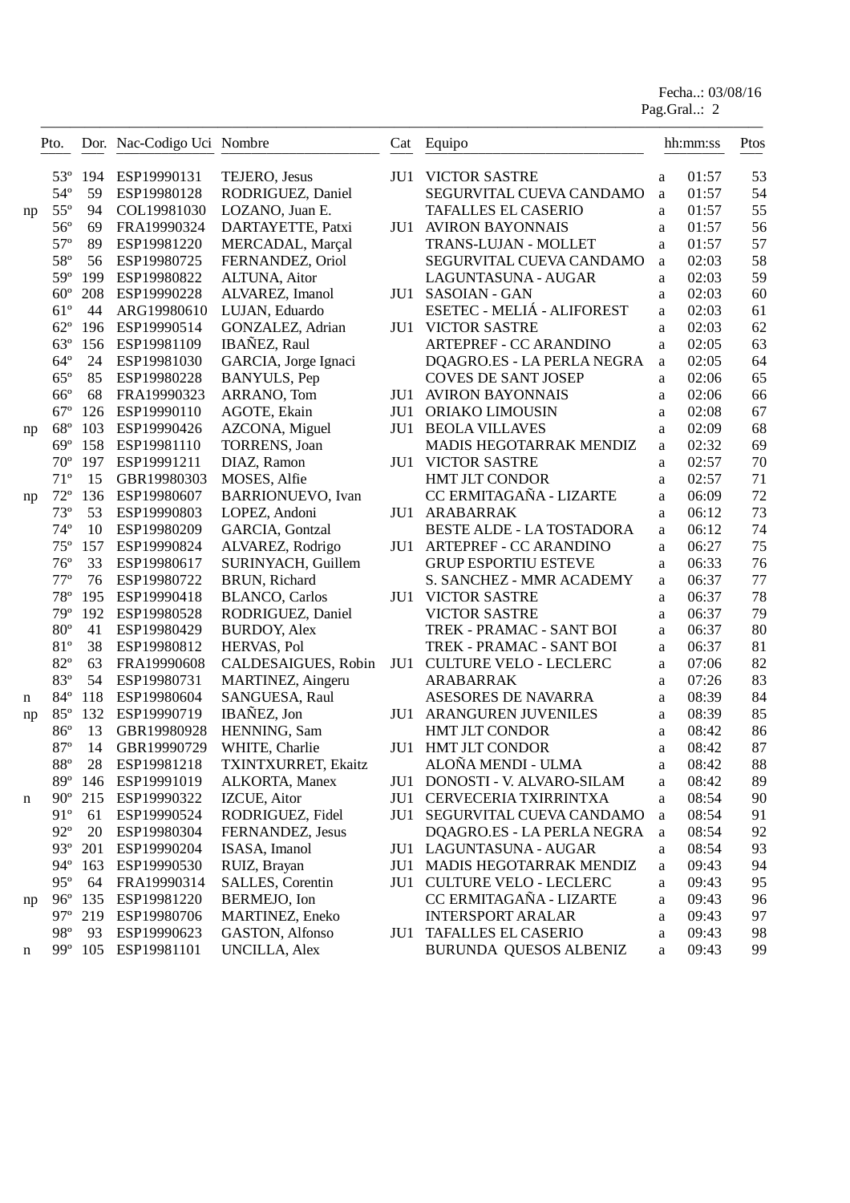Fecha..: 03/08/16

Pag.Gral..: 2

|    | Pto.         |        | Dor. Nac-Codigo Uci Nombre |                          | Cat | Equipo                        |              | hh:mm:ss | Ptos |
|----|--------------|--------|----------------------------|--------------------------|-----|-------------------------------|--------------|----------|------|
|    | 53°          | 194    | ESP19990131                | TEJERO, Jesus            | JU1 | <b>VICTOR SASTRE</b>          | a            | 01:57    | 53   |
|    | $54^{\circ}$ | 59     | ESP19980128                | RODRIGUEZ, Daniel        |     | SEGURVITAL CUEVA CANDAMO      | a            | 01:57    | 54   |
| np | $55^{\circ}$ | 94     | COL19981030                | LOZANO, Juan E.          |     | <b>TAFALLES EL CASERIO</b>    | a            | 01:57    | 55   |
|    | $56^{\circ}$ | 69     | FRA19990324                | DARTAYETTE, Patxi        | JU1 | <b>AVIRON BAYONNAIS</b>       | a            | 01:57    | 56   |
|    | $57^{\circ}$ | 89     | ESP19981220                | MERCADAL, Marçal         |     | TRANS-LUJAN - MOLLET          | a            | 01:57    | 57   |
|    | $58^{\circ}$ | 56     | ESP19980725                | FERNANDEZ, Oriol         |     | SEGURVITAL CUEVA CANDAMO      | $\mathbf{a}$ | 02:03    | 58   |
|    | 59°          | 199    | ESP19980822                | ALTUNA, Aitor            |     | LAGUNTASUNA - AUGAR           | a            | 02:03    | 59   |
|    | $60^\circ$   | 208    | ESP19990228                | ALVAREZ, Imanol          | JU1 | <b>SASOIAN - GAN</b>          | a            | 02:03    | 60   |
|    | $61^{\circ}$ | 44     | ARG19980610                | LUJAN, Eduardo           |     | ESETEC - MELIÁ - ALIFOREST    | a            | 02:03    | 61   |
|    | $62^{\circ}$ | 196    | ESP19990514                | GONZALEZ, Adrian         | JU1 | <b>VICTOR SASTRE</b>          | a            | 02:03    | 62   |
|    | $63^\circ$   | 156    | ESP19981109                | IBAÑEZ, Raul             |     | ARTEPREF - CC ARANDINO        | a            | 02:05    | 63   |
|    | $64^{\circ}$ | 24     | ESP19981030                | GARCIA, Jorge Ignaci     |     | DQAGRO.ES - LA PERLA NEGRA    | $\mathbf{a}$ | 02:05    | 64   |
|    | $65^{\circ}$ | 85     | ESP19980228                | <b>BANYULS</b> , Pep     |     | <b>COVES DE SANT JOSEP</b>    | a            | 02:06    | 65   |
|    | $66^{\circ}$ | 68     | FRA19990323                | ARRANO, Tom              | JU1 | <b>AVIRON BAYONNAIS</b>       | a            | 02:06    | 66   |
|    | $67^\circ$   | 126    | ESP19990110                | AGOTE, Ekain             | JU1 | ORIAKO LIMOUSIN               | a            | 02:08    | 67   |
| np | $68^{\circ}$ | 103    | ESP19990426                | AZCONA, Miguel           | JU1 | <b>BEOLA VILLAVES</b>         | a            | 02:09    | 68   |
|    | $69^\circ$   | 158    | ESP19981110                | <b>TORRENS</b> , Joan    |     | MADIS HEGOTARRAK MENDIZ       | a            | 02:32    | 69   |
|    | $70^{\circ}$ | 197    | ESP19991211                | DIAZ, Ramon              | JU1 | <b>VICTOR SASTRE</b>          | a            | 02:57    | 70   |
|    | $71^{\circ}$ | 15     | GBR19980303                | MOSES, Alfie             |     | <b>HMT JLT CONDOR</b>         | a            | 02:57    | 71   |
| np | $72^{\circ}$ | 136    | ESP19980607                | <b>BARRIONUEVO, Ivan</b> |     | CC ERMITAGAÑA - LIZARTE       | a            | 06:09    | 72   |
|    | $73^{\circ}$ | 53     | ESP19990803                | LOPEZ, Andoni            | JU1 | ARABARRAK                     | a            | 06:12    | 73   |
|    | $74^{\circ}$ | 10     | ESP19980209                | GARCIA, Gontzal          |     | BESTE ALDE - LA TOSTADORA     | a            | 06:12    | 74   |
|    | $75^{\circ}$ | 157    | ESP19990824                | ALVAREZ, Rodrigo         | JU1 | ARTEPREF - CC ARANDINO        | a            | 06:27    | 75   |
|    | $76^{\circ}$ | 33     | ESP19980617                | SURINYACH, Guillem       |     | <b>GRUP ESPORTIU ESTEVE</b>   | a            | 06:33    | 76   |
|    | $77^{\circ}$ | 76     | ESP19980722                | BRUN, Richard            |     | S. SANCHEZ - MMR ACADEMY      | a            | 06:37    | 77   |
|    | $78^{\circ}$ | 195    | ESP19990418                | <b>BLANCO, Carlos</b>    | JU1 | <b>VICTOR SASTRE</b>          | a            | 06:37    | 78   |
|    | 79°          | 192    | ESP19980528                | RODRIGUEZ, Daniel        |     | <b>VICTOR SASTRE</b>          | a            | 06:37    | 79   |
|    | $80^{\circ}$ | 41     | ESP19980429                | <b>BURDOY, Alex</b>      |     | TREK - PRAMAC - SANT BOI      | a            | 06:37    | 80   |
|    | 81°          | 38     | ESP19980812                | HERVAS, Pol              |     | TREK - PRAMAC - SANT BOI      | a            | 06:37    | 81   |
|    | $82^{\circ}$ | 63     | FRA19990608                | CALDESAIGUES, Robin      | JU1 | <b>CULTURE VELO - LECLERC</b> | a            | 07:06    | 82   |
|    | 83°          | 54     | ESP19980731                | MARTINEZ, Aingeru        |     | ARABARRAK                     | a            | 07:26    | 83   |
| n  | 84°          | 118    | ESP19980604                | SANGUESA, Raul           |     | ASESORES DE NAVARRA           | a            | 08:39    | 84   |
| np | $85^{\circ}$ | 132    | ESP19990719                | IBAÑEZ, Jon              | JU1 | ARANGUREN JUVENILES           | a            | 08:39    | 85   |
|    | $86^{\circ}$ | 13     | GBR19980928                | HENNING, Sam             |     | HMT JLT CONDOR                | a            | 08:42    | 86   |
|    | $87^\circ$   | 14     | GBR19990729                | WHITE, Charlie           | JU1 | HMT JLT CONDOR                | a            | 08:42    | 87   |
|    | $88^{\circ}$ | $28\,$ | ESP19981218                | TXINTXURRET, Ekaitz      |     | ALOÑA MENDI - ULMA            | a            | 08:42    | 88   |
|    | $89^\circ$   | 146    | ESP19991019                | ALKORTA, Manex           | JU1 | DONOSTI - V. ALVARO-SILAM     | a            | 08:42    | 89   |
| n  | $90^{\circ}$ | 215    | ESP19990322                | IZCUE, Aitor             | JU1 | CERVECERIA TXIRRINTXA         | a            | 08:54    | 90   |
|    | $91^{\circ}$ | 61     | ESP19990524                | RODRIGUEZ, Fidel         | JU1 | SEGURVITAL CUEVA CANDAMO      | a            | 08:54    | 91   |
|    | $92^{\circ}$ | 20     | ESP19980304                | FERNANDEZ, Jesus         |     | DQAGRO.ES - LA PERLA NEGRA    | $\rm{a}$     | 08:54    | 92   |
|    | $93^\circ$   | 201    | ESP19990204                | ISASA, Imanol            |     | JU1 LAGUNTASUNA - AUGAR       | a            | 08:54    | 93   |
|    | $94^\circ$   | 163    | ESP19990530                | RUIZ, Brayan             | JU1 | MADIS HEGOTARRAK MENDIZ       | a            | 09:43    | 94   |
|    | $95^{\circ}$ | 64     | FRA19990314                | SALLES, Corentin         |     | JU1 CULTURE VELO - LECLERC    | a            | 09:43    | 95   |
| np | $96^{\circ}$ | 135    | ESP19981220                | BERMEJO, Ion             |     | CC ERMITAGAÑA - LIZARTE       | a            | 09:43    | 96   |
|    | $97^\circ$   | 219    | ESP19980706                | MARTINEZ, Eneko          |     | <b>INTERSPORT ARALAR</b>      | a            | 09:43    | 97   |
|    | 98°          | 93     | ESP19990623                | GASTON, Alfonso          | JU1 | <b>TAFALLES EL CASERIO</b>    | a            | 09:43    | 98   |
| n  | $99^\circ$   | 105    | ESP19981101                | <b>UNCILLA, Alex</b>     |     | BURUNDA QUESOS ALBENIZ        | a            | 09:43    | 99   |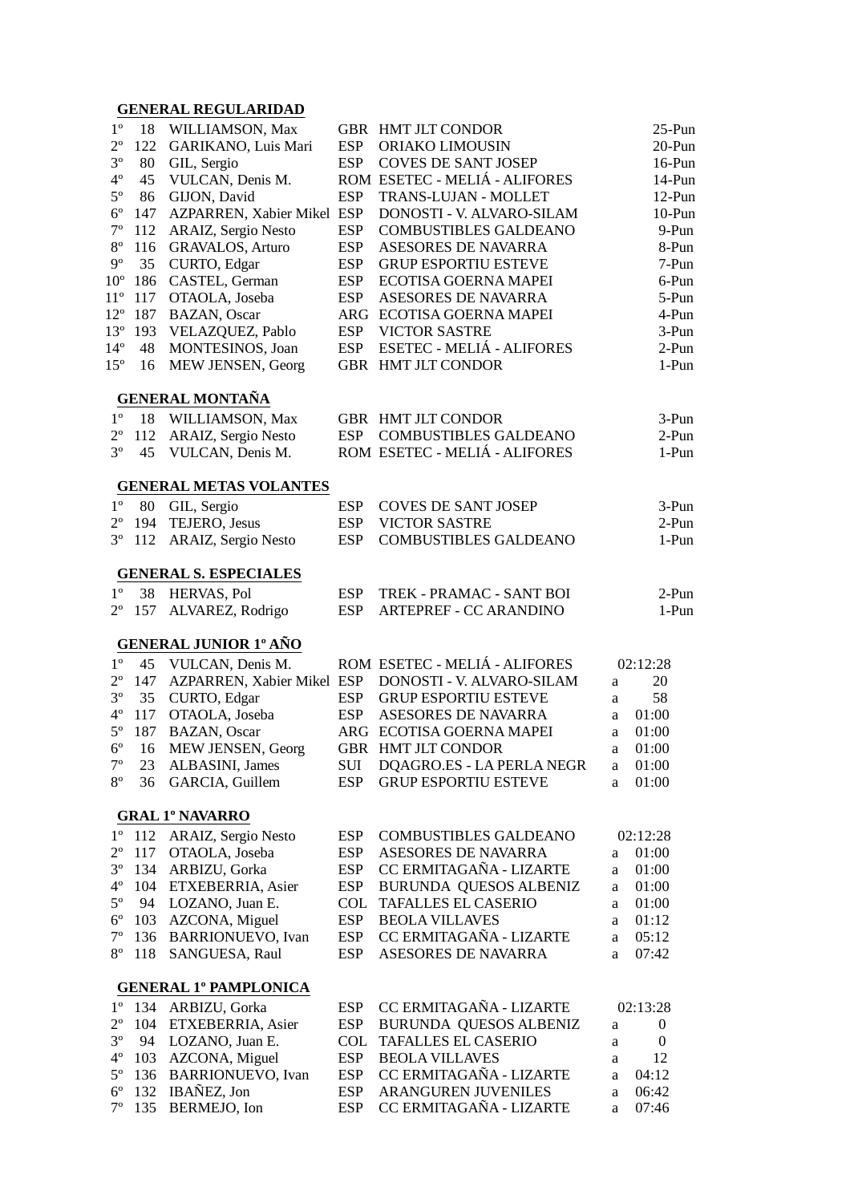#### **GENERAL REGULARIDAD**

| $1^{\circ}$     | 18  | WILLIAMSON, Max                              |            | GBR HMT JLT CONDOR            |    | 25-Pun         |
|-----------------|-----|----------------------------------------------|------------|-------------------------------|----|----------------|
| $2^{\circ}$     | 122 | GARIKANO, Luis Mari                          | <b>ESP</b> | ORIAKO LIMOUSIN               |    | 20-Pun         |
| $3^{\circ}$     | 80  | GIL, Sergio                                  | <b>ESP</b> | <b>COVES DE SANT JOSEP</b>    |    | 16-Pun         |
| $4^{\circ}$     | 45  | VULCAN, Denis M.                             |            | ROM ESETEC - MELIÁ - ALIFORES |    | 14-Pun         |
| $5^{\circ}$     | 86  | GIJON, David                                 | <b>ESP</b> | TRANS-LUJAN - MOLLET          |    | 12-Pun         |
| $6^{\circ}$     | 147 | AZPARREN, Xabier Mikel ESP                   |            | DONOSTI - V. ALVARO-SILAM     |    | $10-Pun$       |
| $7^{\circ}$     | 112 | ARAIZ, Sergio Nesto                          | <b>ESP</b> | COMBUSTIBLES GALDEANO         |    | 9-Pun          |
| $8^{\circ}$     | 116 | <b>GRAVALOS, Arturo</b>                      | <b>ESP</b> | ASESORES DE NAVARRA           |    | 8-Pun          |
| $9^{\circ}$     | 35  | CURTO, Edgar                                 | <b>ESP</b> | <b>GRUP ESPORTIU ESTEVE</b>   |    | 7-Pun          |
| 10 <sup>o</sup> | 186 | CASTEL, German                               | <b>ESP</b> | ECOTISA GOERNA MAPEI          |    | 6-Pun          |
| $11^{\circ}$    | 117 | OTAOLA, Joseba                               | <b>ESP</b> | ASESORES DE NAVARRA           |    | 5-Pun          |
| $12^{\circ}$    | 187 | <b>BAZAN</b> , Oscar                         | ARG        | ECOTISA GOERNA MAPEI          |    | 4-Pun          |
| $13^{\circ}$    | 193 | VELAZQUEZ, Pablo                             | <b>ESP</b> | <b>VICTOR SASTRE</b>          |    | 3-Pun          |
| $14^{\circ}$    | 48  | MONTESINOS, Joan                             | <b>ESP</b> | ESETEC - MELIÁ - ALIFORES     |    | $2-Pun$        |
|                 |     |                                              |            |                               |    |                |
| $15^{\circ}$    | 16  | MEW JENSEN, Georg                            |            | GBR HMT JLT CONDOR            |    | 1-Pun          |
|                 |     | <b>GENERAL MONTAÑA</b>                       |            |                               |    |                |
| $1^{\circ}$     | 18  | WILLIAMSON, Max                              |            | <b>GBR HMT JLT CONDOR</b>     |    | 3-Pun          |
| $2^{\circ}$     | 112 | ARAIZ, Sergio Nesto                          | <b>ESP</b> | <b>COMBUSTIBLES GALDEANO</b>  |    | $2-Pun$        |
| $3^{\circ}$     | 45  | VULCAN, Denis M.                             |            | ROM ESETEC - MELIÁ - ALIFORES |    | 1-Pun          |
|                 |     |                                              |            |                               |    |                |
| $1^{\circ}$     | 80  | <b>GENERAL METAS VOLANTES</b><br>GIL, Sergio | <b>ESP</b> | <b>COVES DE SANT JOSEP</b>    |    | 3-Pun          |
| $2^{\circ}$     | 194 | TEJERO, Jesus                                | <b>ESP</b> | <b>VICTOR SASTRE</b>          |    | $2-Pun$        |
| $3^{\circ}$     | 112 | ARAIZ, Sergio Nesto                          | <b>ESP</b> | <b>COMBUSTIBLES GALDEANO</b>  |    | 1-Pun          |
|                 |     |                                              |            |                               |    |                |
|                 |     | <b>GENERAL S. ESPECIALES</b>                 |            |                               |    |                |
| $1^{\circ}$     | 38  | HERVAS, Pol                                  | <b>ESP</b> | TREK - PRAMAC - SANT BOI      |    | $2-Pun$        |
| $2^{\circ}$     | 157 | ALVAREZ, Rodrigo                             | <b>ESP</b> | <b>ARTEPREF - CC ARANDINO</b> |    | 1-Pun          |
|                 |     | <b>GENERAL JUNIOR 1º AÑO</b>                 |            |                               |    |                |
| $1^{\circ}$     | 45  | VULCAN, Denis M.                             |            | ROM ESETEC - MELIÁ - ALIFORES |    | 02:12:28       |
| $2^{\circ}$     | 147 | AZPARREN, Xabier Mikel ESP                   |            | DONOSTI - V. ALVARO-SILAM     | a  | 20             |
| $3^{\circ}$     | 35  | CURTO, Edgar                                 | <b>ESP</b> | <b>GRUP ESPORTIU ESTEVE</b>   | a  | 58             |
| $4^{\circ}$     | 117 | OTAOLA, Joseba                               | <b>ESP</b> | ASESORES DE NAVARRA           | a  | 01:00          |
| $5^{\circ}$     | 187 | BAZAN, Oscar                                 |            | ARG ECOTISA GOERNA MAPEI      | a  | 01:00          |
| $6^{\circ}$     | 16  | MEW JENSEN, Georg                            |            | GBR HMT JLT CONDOR            | a  | 01:00          |
| $7^{\rm o}$     | 23  | ALBASINI, James                              | <b>SUI</b> | DQAGRO.ES - LA PERLA NEGR     | a  | 01:00          |
| $8^{\circ}$     | 36  | GARCIA, Guillem                              | <b>ESP</b> | <b>GRUP ESPORTIU ESTEVE</b>   | a  | 01:00          |
|                 |     |                                              |            |                               |    |                |
|                 |     | <b>GRAL 1º NAVARRO</b>                       |            |                               |    |                |
| $1^{\circ}$     | 112 | ARAIZ, Sergio Nesto                          | <b>ESP</b> | <b>COMBUSTIBLES GALDEANO</b>  |    | 02:12:28       |
| $2^{\circ}$     | 117 | OTAOLA, Joseba                               | <b>ESP</b> | ASESORES DE NAVARRA           | a  | 01:00          |
| $3^{\circ}$     | 134 | ARBIZU, Gorka                                | <b>ESP</b> | CC ERMITAGAÑA - LIZARTE       | a  | 01:00          |
| $4^{\rm o}$     | 104 | ETXEBERRIA, Asier                            | <b>ESP</b> | BURUNDA QUESOS ALBENIZ        | a  | 01:00          |
| $5^{\circ}$     | 94  | LOZANO, Juan E.                              | <b>COL</b> | <b>TAFALLES EL CASERIO</b>    | a  | 01:00          |
| $6^{\circ}$     | 103 | AZCONA, Miguel                               | <b>ESP</b> | <b>BEOLA VILLAVES</b>         | a. | 01:12          |
| $7^{\rm o}$     | 136 | BARRIONUEVO, Ivan                            | <b>ESP</b> | CC ERMITAGAÑA - LIZARTE       | a  | 05:12          |
| $8^{\circ}$     | 118 | SANGUESA, Raul                               | <b>ESP</b> | ASESORES DE NAVARRA           | a  | 07:42          |
|                 |     | <b>GENERAL 1º PAMPLONICA</b>                 |            |                               |    |                |
| $1^{\circ}$     | 134 | ARBIZU, Gorka                                | <b>ESP</b> | CC ERMITAGAÑA - LIZARTE       |    | 02:13:28       |
| $2^{\circ}$     | 104 | ETXEBERRIA, Asier                            | <b>ESP</b> | BURUNDA QUESOS ALBENIZ        | a  | $\overline{0}$ |
| $3^{\circ}$     | 94  | LOZANO, Juan E.                              | <b>COL</b> | <b>TAFALLES EL CASERIO</b>    | a  | $\overline{0}$ |
| $4^{\rm o}$     | 103 | AZCONA, Miguel                               | <b>ESP</b> | <b>BEOLA VILLAVES</b>         | a  | 12             |
| $5^{\circ}$     | 136 | <b>BARRIONUEVO, Ivan</b>                     | <b>ESP</b> | CC ERMITAGAÑA - LIZARTE       | a  | 04:12          |
| $6^{\circ}$     | 132 | IBAÑEZ, Jon                                  | <b>ESP</b> | ARANGUREN JUVENILES           | a  | 06:42          |
| $7^{\circ}$     | 135 | BERMEJO, Ion                                 | <b>ESP</b> | CC ERMITAGAÑA - LIZARTE       | a  | 07:46          |
|                 |     |                                              |            |                               |    |                |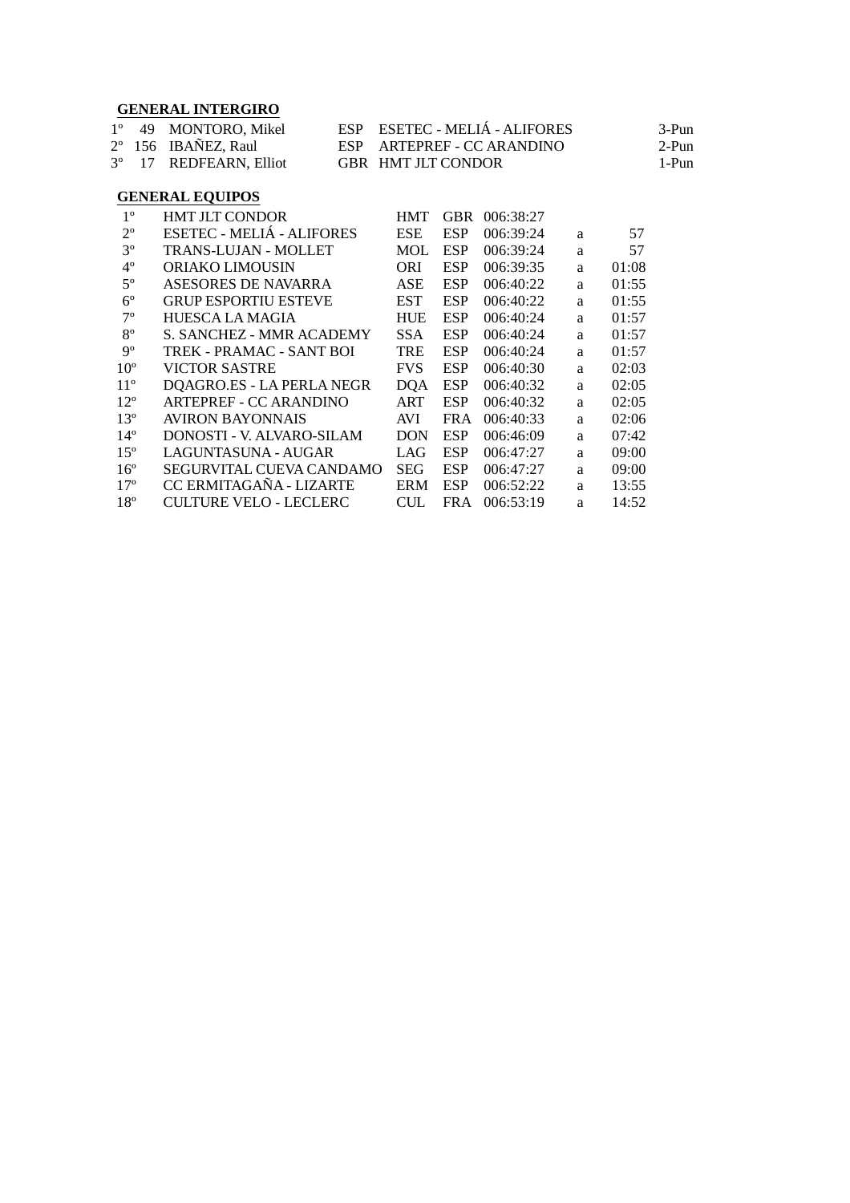### **GENERAL INTERGIRO**

|  | 1° 49 MONTORO, Mikel               | ESP ESETEC - MELIÁ - ALIFORES | 3-Pun |
|--|------------------------------------|-------------------------------|-------|
|  | 2° 156 IBAÑEZ, Raul                | ESP ARTEPREF - CC ARANDINO    | 2-Pun |
|  | 3 <sup>°</sup> 17 REDFEARN, Elliot | GBR HMT JLT CONDOR            | 1-Pun |

#### **GENERAL EQUIPOS**

| $1^{\circ}$     | HMT JLT CONDOR                | <b>HMT</b> | <b>GBR</b> | 006:38:27 |   |       |
|-----------------|-------------------------------|------------|------------|-----------|---|-------|
| $2^{\circ}$     | ESETEC - MELIÁ - ALIFORES     | <b>ESE</b> | <b>ESP</b> | 006:39:24 | a | 57    |
| $3^{\circ}$     | TRANS-LUJAN - MOLLET          | MOL        | <b>ESP</b> | 006:39:24 | a | 57    |
| $4^{\circ}$     | ORIAKO LIMOUSIN               | ORI        | <b>ESP</b> | 006:39:35 | a | 01:08 |
| $5^{\circ}$     | ASESORES DE NAVARRA           | <b>ASE</b> | <b>ESP</b> | 006:40:22 | a | 01:55 |
| $6^{\circ}$     | <b>GRUP ESPORTIU ESTEVE</b>   | <b>EST</b> | <b>ESP</b> | 006:40:22 | a | 01:55 |
| $7^{\circ}$     | HUESCA LA MAGIA               | <b>HUE</b> | <b>ESP</b> | 006:40:24 | a | 01:57 |
| $8^{\circ}$     | S. SANCHEZ - MMR ACADEMY      | SSA.       | <b>ESP</b> | 006:40:24 | a | 01:57 |
| $9^{\circ}$     | TREK - PRAMAC - SANT BOI      | TRE        | <b>ESP</b> | 006:40:24 | a | 01:57 |
| 10 <sup>o</sup> | VICTOR SASTRE                 | <b>FVS</b> | <b>ESP</b> | 006:40:30 | a | 02:03 |
| $11^{\circ}$    | DQAGRO.ES - LA PERLA NEGR     | <b>DQA</b> | <b>ESP</b> | 006:40:32 | a | 02:05 |
| $12^{\circ}$    | ARTEPREF - CC ARANDINO        | ART        | <b>ESP</b> | 006:40:32 | a | 02:05 |
| $13^{\circ}$    | AVIRON BAYONNAIS              | <b>AVI</b> | <b>FRA</b> | 006:40:33 | a | 02:06 |
| $14^{\circ}$    | DONOSTI - V. ALVARO-SILAM     | DON        | <b>ESP</b> | 006:46:09 | a | 07:42 |
| $15^{\circ}$    | LAGUNTASUNA - AUGAR           | LAG        | <b>ESP</b> | 006:47:27 | a | 09:00 |
| $16^{\circ}$    | SEGURVITAL CUEVA CANDAMO      | <b>SEG</b> | <b>ESP</b> | 006:47:27 | a | 09:00 |
| $17^{\circ}$    | CC ERMITAGAÑA - LIZARTE       | <b>ERM</b> | <b>ESP</b> | 006:52:22 | a | 13:55 |
| 18 <sup>o</sup> | <b>CULTURE VELO - LECLERC</b> | <b>CUL</b> | FR A       | 006:53:19 | a | 14:52 |
|                 |                               |            |            |           |   |       |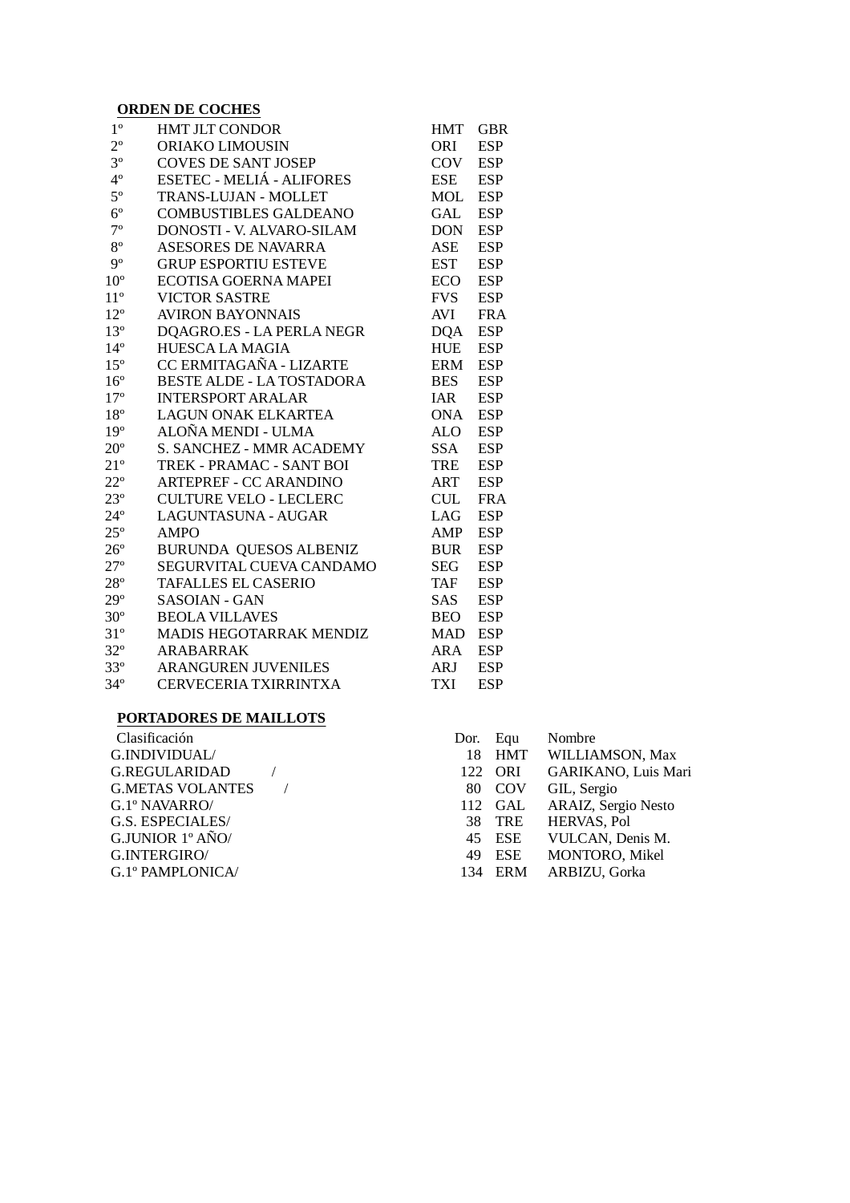#### **ORDEN DE COCHES**

| $1^{\circ}$     | <b>HMT JLT CONDOR</b>            | <b>HMT</b> | <b>GBR</b> |
|-----------------|----------------------------------|------------|------------|
| $2^{\circ}$     | <b>ORIAKO LIMOUSIN</b>           | <b>ORI</b> | <b>ESP</b> |
| $3^{\circ}$     | <b>COVES DE SANT JOSEP</b>       | COV        | <b>ESP</b> |
| $4^{\circ}$     | ESETEC - MELIÁ - ALIFORES        | <b>ESE</b> | <b>ESP</b> |
| $5^{\circ}$     | TRANS-LUJAN - MOLLET             | <b>MOL</b> | <b>ESP</b> |
| $6^{\circ}$     | <b>COMBUSTIBLES GALDEANO</b>     | <b>GAL</b> | <b>ESP</b> |
| $7^{\circ}$     | DONOSTI - V. ALVARO-SILAM        | <b>DON</b> | <b>ESP</b> |
| $8^{\circ}$     | <b>ASESORES DE NAVARRA</b>       | <b>ASE</b> | <b>ESP</b> |
| 9°              | <b>GRUP ESPORTIU ESTEVE</b>      | EST        | <b>ESP</b> |
| $10^{\circ}$    | <b>ECOTISA GOERNA MAPEI</b>      | <b>ECO</b> | <b>ESP</b> |
| $11^{\circ}$    | <b>VICTOR SASTRE</b>             | <b>FVS</b> | <b>ESP</b> |
| $12^{\circ}$    | <b>AVIRON BAYONNAIS</b>          | <b>AVI</b> | <b>FRA</b> |
| $13^{\circ}$    | DQAGRO.ES - LA PERLA NEGR        | <b>DQA</b> | <b>ESP</b> |
| $14^{\circ}$    | <b>HUESCA LA MAGIA</b>           | <b>HUE</b> | <b>ESP</b> |
| $15^{\circ}$    | CC ERMITAGAÑA - LIZARTE          | <b>ERM</b> | <b>ESP</b> |
| $16^{\circ}$    | <b>BESTE ALDE - LA TOSTADORA</b> | <b>BES</b> | <b>ESP</b> |
| 17 <sup>°</sup> | <b>INTERSPORT ARALAR</b>         | <b>IAR</b> | <b>ESP</b> |
| $18^{\circ}$    | <b>LAGUN ONAK ELKARTEA</b>       | <b>ONA</b> | <b>ESP</b> |
| 19 <sup>°</sup> | ALOÑA MENDI - ULMA               | ALO        | <b>ESP</b> |
| $20^{\circ}$    | S. SANCHEZ - MMR ACADEMY         | <b>SSA</b> | <b>ESP</b> |
| $21^{\circ}$    | TREK - PRAMAC - SANT BOI         | <b>TRE</b> | <b>ESP</b> |
| $22^{\circ}$    | <b>ARTEPREF - CC ARANDINO</b>    | <b>ART</b> | <b>ESP</b> |
| $23^{\circ}$    | <b>CULTURE VELO - LECLERC</b>    | <b>CUL</b> | <b>FRA</b> |
| $24^{\circ}$    | LAGUNTASUNA - AUGAR              | LAG        | <b>ESP</b> |
| $25^{\circ}$    | <b>AMPO</b>                      | AMP        | <b>ESP</b> |
| $26^{\circ}$    | <b>BURUNDA QUESOS ALBENIZ</b>    | <b>BUR</b> | <b>ESP</b> |
| $27^{\circ}$    | SEGURVITAL CUEVA CANDAMO         | <b>SEG</b> | <b>ESP</b> |
| $28^{\circ}$    | <b>TAFALLES EL CASERIO</b>       | <b>TAF</b> | <b>ESP</b> |
| $29^\circ$      | <b>SASOIAN - GAN</b>             | SAS.       | <b>ESP</b> |
| $30^{\circ}$    | <b>BEOLA VILLAVES</b>            | <b>BEO</b> | <b>ESP</b> |
| $31^{\circ}$    | MADIS HEGOTARRAK MENDIZ          | <b>MAD</b> | <b>ESP</b> |
| $32^{\circ}$    | <b>ARABARRAK</b>                 | <b>ARA</b> | <b>ESP</b> |
| $33^{\circ}$    | <b>ARANGUREN JUVENILES</b>       | ARJ        | <b>ESP</b> |
| $34^\circ$      | CERVECERIA TXIRRINTXA            | <b>TXI</b> | <b>ESP</b> |

### **PORTADORES DE MAILLOTS**

| Clasificación             | Dor. Equ |         | Nombre              |
|---------------------------|----------|---------|---------------------|
| G.INDIVIDUAL/             |          |         | 18 HMT WILLIAMSO    |
| G.REGULARIDAD             |          | 122 ORI | GARIKANO,           |
| <b>G.METAS VOLANTES</b> / |          |         | 80 COV GIL, Sergio  |
| G.1° NAVARRO/             |          | 112 GAL | ARAIZ, Sergi        |
| G.S. ESPECIALES/          |          |         | 38 TRE HERVAS, Pol  |
| G.JUNIOR 1° AÑO/          |          |         | 45 ESE VULCAN, De   |
| G.INTERGIRO/              |          | 49 ESE  | MONTORO,            |
| G.1º PAMPLONICA/          |          |         | 134 ERM ARBIZU, Got |

| Clasificación           | Dor. Equ |         | Nombre              |
|-------------------------|----------|---------|---------------------|
| G.INDIVIDUAL/           | 18       |         | HMT WILLIAMSON, Max |
| G.REGULARIDAD           |          | 122 ORI | GARIKANO, Luis Mari |
| G.METAS VOLANTES        |          | 80 COV  | GIL, Sergio         |
| G.1º NAVARRO/           |          | 112 GAL | ARAIZ, Sergio Nesto |
| <b>G.S. ESPECIALES/</b> |          | 38 TRE  | <b>HERVAS, Pol</b>  |
| G.JUNIOR 1º AÑO/        |          | 45 ESE  | VULCAN, Denis M.    |
| G.INTERGIRO/            |          | 49 ESE  | MONTORO, Mikel      |
| G.1º PAMPLONICA/        |          | 134 ERM | ARBIZU, Gorka       |
|                         |          |         |                     |